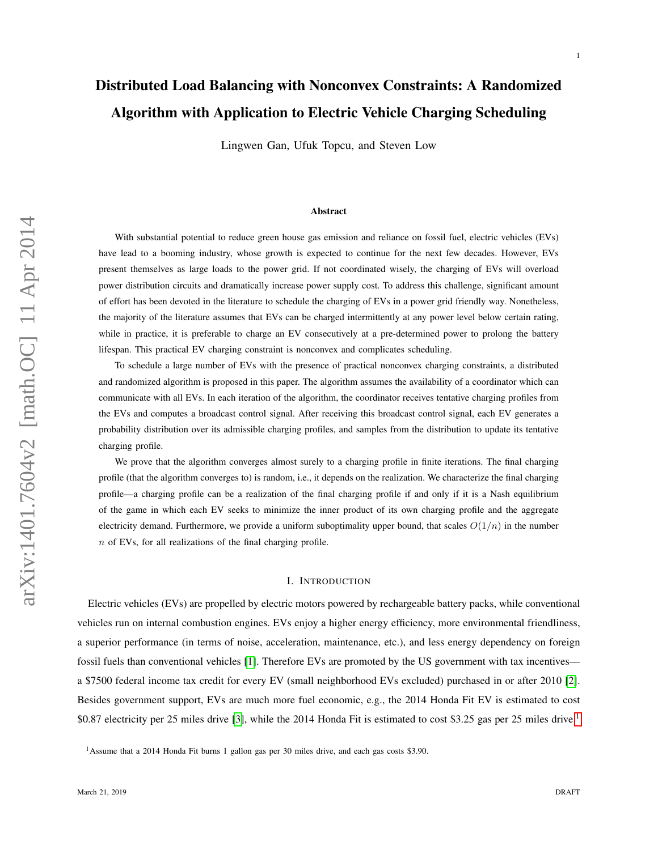# Distributed Load Balancing with Nonconvex Constraints: A Randomized Algorithm with Application to Electric Vehicle Charging Scheduling

Lingwen Gan, Ufuk Topcu, and Steven Low

#### Abstract

With substantial potential to reduce green house gas emission and reliance on fossil fuel, electric vehicles (EVs) have lead to a booming industry, whose growth is expected to continue for the next few decades. However, EVs present themselves as large loads to the power grid. If not coordinated wisely, the charging of EVs will overload power distribution circuits and dramatically increase power supply cost. To address this challenge, significant amount of effort has been devoted in the literature to schedule the charging of EVs in a power grid friendly way. Nonetheless, the majority of the literature assumes that EVs can be charged intermittently at any power level below certain rating, while in practice, it is preferable to charge an EV consecutively at a pre-determined power to prolong the battery lifespan. This practical EV charging constraint is nonconvex and complicates scheduling.

To schedule a large number of EVs with the presence of practical nonconvex charging constraints, a distributed and randomized algorithm is proposed in this paper. The algorithm assumes the availability of a coordinator which can communicate with all EVs. In each iteration of the algorithm, the coordinator receives tentative charging profiles from the EVs and computes a broadcast control signal. After receiving this broadcast control signal, each EV generates a probability distribution over its admissible charging profiles, and samples from the distribution to update its tentative charging profile.

We prove that the algorithm converges almost surely to a charging profile in finite iterations. The final charging profile (that the algorithm converges to) is random, i.e., it depends on the realization. We characterize the final charging profile—a charging profile can be a realization of the final charging profile if and only if it is a Nash equilibrium of the game in which each EV seeks to minimize the inner product of its own charging profile and the aggregate electricity demand. Furthermore, we provide a uniform suboptimality upper bound, that scales  $O(1/n)$  in the number  $n$  of EVs, for all realizations of the final charging profile.

#### I. INTRODUCTION

Electric vehicles (EVs) are propelled by electric motors powered by rechargeable battery packs, while conventional vehicles run on internal combustion engines. EVs enjoy a higher energy efficiency, more environmental friendliness, a superior performance (in terms of noise, acceleration, maintenance, etc.), and less energy dependency on foreign fossil fuels than conventional vehicles [\[1\]](#page-22-0). Therefore EVs are promoted by the US government with tax incentives a \$7500 federal income tax credit for every EV (small neighborhood EVs excluded) purchased in or after 2010 [\[2\]](#page-22-1). Besides government support, EVs are much more fuel economic, e.g., the 2014 Honda Fit EV is estimated to cost \$0.87 electricity per 25 miles drive [\[3\]](#page-22-2), while the 20[1](#page-0-0)4 Honda Fit is estimated to cost \$3.25 gas per 25 miles drive.<sup>1</sup>

1

<span id="page-0-0"></span><sup>1</sup>Assume that a 2014 Honda Fit burns 1 gallon gas per 30 miles drive, and each gas costs \$3.90.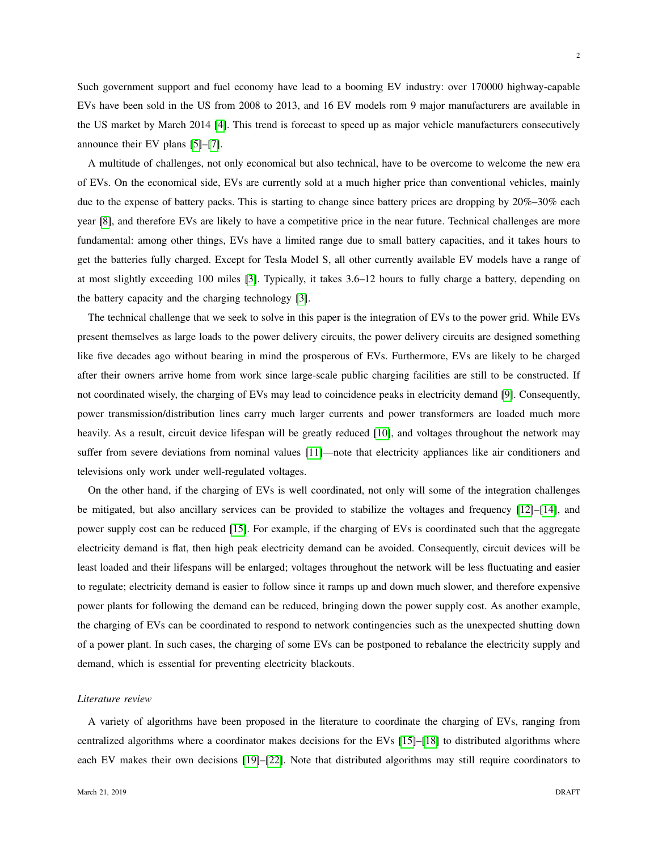Such government support and fuel economy have lead to a booming EV industry: over 170000 highway-capable EVs have been sold in the US from 2008 to 2013, and 16 EV models rom 9 major manufacturers are available in the US market by March 2014 [\[4\]](#page-22-3). This trend is forecast to speed up as major vehicle manufacturers consecutively announce their EV plans [\[5\]](#page-22-4)–[\[7\]](#page-22-5).

A multitude of challenges, not only economical but also technical, have to be overcome to welcome the new era of EVs. On the economical side, EVs are currently sold at a much higher price than conventional vehicles, mainly due to the expense of battery packs. This is starting to change since battery prices are dropping by 20%–30% each year [\[8\]](#page-22-6), and therefore EVs are likely to have a competitive price in the near future. Technical challenges are more fundamental: among other things, EVs have a limited range due to small battery capacities, and it takes hours to get the batteries fully charged. Except for Tesla Model S, all other currently available EV models have a range of at most slightly exceeding 100 miles [\[3\]](#page-22-2). Typically, it takes 3.6–12 hours to fully charge a battery, depending on the battery capacity and the charging technology [\[3\]](#page-22-2).

The technical challenge that we seek to solve in this paper is the integration of EVs to the power grid. While EVs present themselves as large loads to the power delivery circuits, the power delivery circuits are designed something like five decades ago without bearing in mind the prosperous of EVs. Furthermore, EVs are likely to be charged after their owners arrive home from work since large-scale public charging facilities are still to be constructed. If not coordinated wisely, the charging of EVs may lead to coincidence peaks in electricity demand [\[9\]](#page-22-7). Consequently, power transmission/distribution lines carry much larger currents and power transformers are loaded much more heavily. As a result, circuit device lifespan will be greatly reduced [\[10\]](#page-22-8), and voltages throughout the network may suffer from severe deviations from nominal values [\[11\]](#page-22-9)—note that electricity appliances like air conditioners and televisions only work under well-regulated voltages.

On the other hand, if the charging of EVs is well coordinated, not only will some of the integration challenges be mitigated, but also ancillary services can be provided to stabilize the voltages and frequency [\[12\]](#page-22-10)–[\[14\]](#page-22-11), and power supply cost can be reduced [\[15\]](#page-22-12). For example, if the charging of EVs is coordinated such that the aggregate electricity demand is flat, then high peak electricity demand can be avoided. Consequently, circuit devices will be least loaded and their lifespans will be enlarged; voltages throughout the network will be less fluctuating and easier to regulate; electricity demand is easier to follow since it ramps up and down much slower, and therefore expensive power plants for following the demand can be reduced, bringing down the power supply cost. As another example, the charging of EVs can be coordinated to respond to network contingencies such as the unexpected shutting down of a power plant. In such cases, the charging of some EVs can be postponed to rebalance the electricity supply and demand, which is essential for preventing electricity blackouts.

#### *Literature review*

A variety of algorithms have been proposed in the literature to coordinate the charging of EVs, ranging from centralized algorithms where a coordinator makes decisions for the EVs [\[15\]](#page-22-12)–[\[18\]](#page-22-13) to distributed algorithms where each EV makes their own decisions [\[19\]](#page-22-14)–[\[22\]](#page-23-0). Note that distributed algorithms may still require coordinators to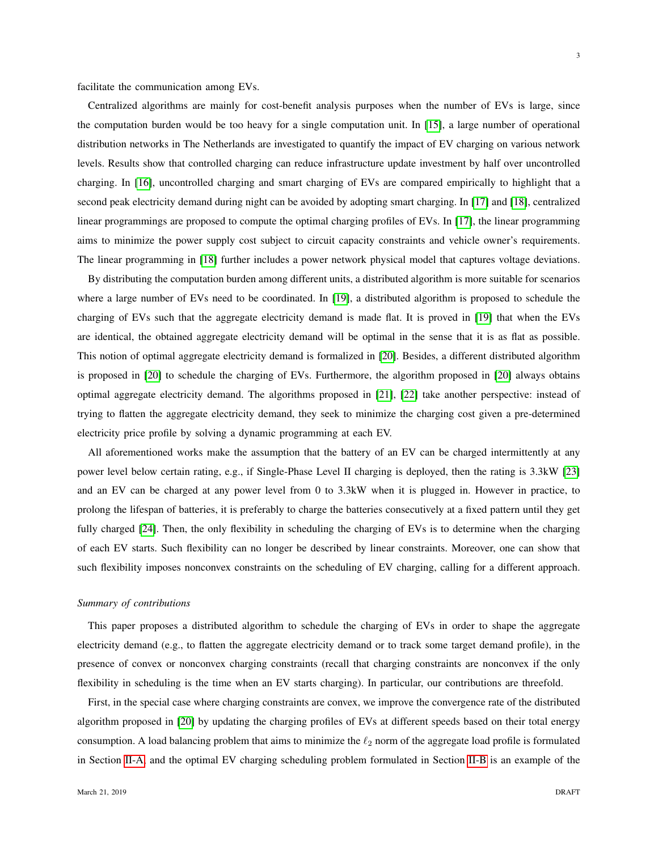facilitate the communication among EVs.

Centralized algorithms are mainly for cost-benefit analysis purposes when the number of EVs is large, since the computation burden would be too heavy for a single computation unit. In [\[15\]](#page-22-12), a large number of operational distribution networks in The Netherlands are investigated to quantify the impact of EV charging on various network levels. Results show that controlled charging can reduce infrastructure update investment by half over uncontrolled charging. In [\[16\]](#page-22-15), uncontrolled charging and smart charging of EVs are compared empirically to highlight that a second peak electricity demand during night can be avoided by adopting smart charging. In [\[17\]](#page-22-16) and [\[18\]](#page-22-13), centralized linear programmings are proposed to compute the optimal charging profiles of EVs. In [\[17\]](#page-22-16), the linear programming aims to minimize the power supply cost subject to circuit capacity constraints and vehicle owner's requirements. The linear programming in [\[18\]](#page-22-13) further includes a power network physical model that captures voltage deviations.

By distributing the computation burden among different units, a distributed algorithm is more suitable for scenarios where a large number of EVs need to be coordinated. In [\[19\]](#page-22-14), a distributed algorithm is proposed to schedule the charging of EVs such that the aggregate electricity demand is made flat. It is proved in [\[19\]](#page-22-14) that when the EVs are identical, the obtained aggregate electricity demand will be optimal in the sense that it is as flat as possible. This notion of optimal aggregate electricity demand is formalized in [\[20\]](#page-22-17). Besides, a different distributed algorithm is proposed in [\[20\]](#page-22-17) to schedule the charging of EVs. Furthermore, the algorithm proposed in [\[20\]](#page-22-17) always obtains optimal aggregate electricity demand. The algorithms proposed in [\[21\]](#page-22-18), [\[22\]](#page-23-0) take another perspective: instead of trying to flatten the aggregate electricity demand, they seek to minimize the charging cost given a pre-determined electricity price profile by solving a dynamic programming at each EV.

All aforementioned works make the assumption that the battery of an EV can be charged intermittently at any power level below certain rating, e.g., if Single-Phase Level II charging is deployed, then the rating is 3.3kW [\[23\]](#page-23-1) and an EV can be charged at any power level from 0 to 3.3kW when it is plugged in. However in practice, to prolong the lifespan of batteries, it is preferably to charge the batteries consecutively at a fixed pattern until they get fully charged [\[24\]](#page-23-2). Then, the only flexibility in scheduling the charging of EVs is to determine when the charging of each EV starts. Such flexibility can no longer be described by linear constraints. Moreover, one can show that such flexibility imposes nonconvex constraints on the scheduling of EV charging, calling for a different approach.

#### *Summary of contributions*

This paper proposes a distributed algorithm to schedule the charging of EVs in order to shape the aggregate electricity demand (e.g., to flatten the aggregate electricity demand or to track some target demand profile), in the presence of convex or nonconvex charging constraints (recall that charging constraints are nonconvex if the only flexibility in scheduling is the time when an EV starts charging). In particular, our contributions are threefold.

First, in the special case where charging constraints are convex, we improve the convergence rate of the distributed algorithm proposed in [\[20\]](#page-22-17) by updating the charging profiles of EVs at different speeds based on their total energy consumption. A load balancing problem that aims to minimize the  $\ell_2$  norm of the aggregate load profile is formulated in Section [II-A,](#page-4-0) and the optimal EV charging scheduling problem formulated in Section [II-B](#page-6-0) is an example of the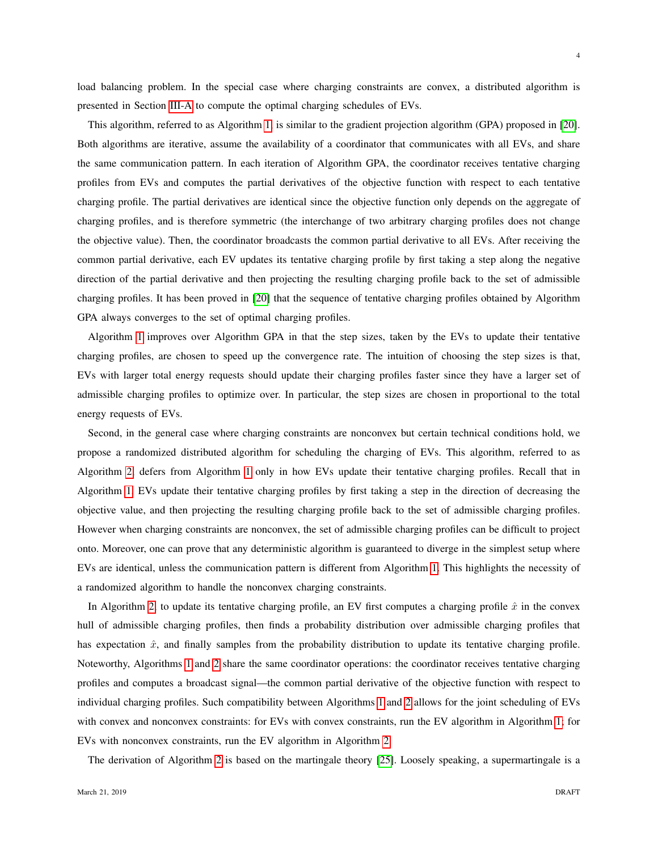4

load balancing problem. In the special case where charging constraints are convex, a distributed algorithm is presented in Section [III-A](#page-8-0) to compute the optimal charging schedules of EVs.

This algorithm, referred to as Algorithm [1,](#page-9-0) is similar to the gradient projection algorithm (GPA) proposed in [\[20\]](#page-22-17). Both algorithms are iterative, assume the availability of a coordinator that communicates with all EVs, and share the same communication pattern. In each iteration of Algorithm GPA, the coordinator receives tentative charging profiles from EVs and computes the partial derivatives of the objective function with respect to each tentative charging profile. The partial derivatives are identical since the objective function only depends on the aggregate of charging profiles, and is therefore symmetric (the interchange of two arbitrary charging profiles does not change the objective value). Then, the coordinator broadcasts the common partial derivative to all EVs. After receiving the common partial derivative, each EV updates its tentative charging profile by first taking a step along the negative direction of the partial derivative and then projecting the resulting charging profile back to the set of admissible charging profiles. It has been proved in [\[20\]](#page-22-17) that the sequence of tentative charging profiles obtained by Algorithm GPA always converges to the set of optimal charging profiles.

Algorithm [1](#page-9-0) improves over Algorithm GPA in that the step sizes, taken by the EVs to update their tentative charging profiles, are chosen to speed up the convergence rate. The intuition of choosing the step sizes is that, EVs with larger total energy requests should update their charging profiles faster since they have a larger set of admissible charging profiles to optimize over. In particular, the step sizes are chosen in proportional to the total energy requests of EVs.

Second, in the general case where charging constraints are nonconvex but certain technical conditions hold, we propose a randomized distributed algorithm for scheduling the charging of EVs. This algorithm, referred to as Algorithm [2,](#page-14-0) defers from Algorithm [1](#page-9-0) only in how EVs update their tentative charging profiles. Recall that in Algorithm [1,](#page-9-0) EVs update their tentative charging profiles by first taking a step in the direction of decreasing the objective value, and then projecting the resulting charging profile back to the set of admissible charging profiles. However when charging constraints are nonconvex, the set of admissible charging profiles can be difficult to project onto. Moreover, one can prove that any deterministic algorithm is guaranteed to diverge in the simplest setup where EVs are identical, unless the communication pattern is different from Algorithm [1.](#page-9-0) This highlights the necessity of a randomized algorithm to handle the nonconvex charging constraints.

In Algorithm [2,](#page-14-0) to update its tentative charging profile, an EV first computes a charging profile  $\hat{x}$  in the convex hull of admissible charging profiles, then finds a probability distribution over admissible charging profiles that has expectation  $\hat{x}$ , and finally samples from the probability distribution to update its tentative charging profile. Noteworthy, Algorithms [1](#page-9-0) and [2](#page-14-0) share the same coordinator operations: the coordinator receives tentative charging profiles and computes a broadcast signal—the common partial derivative of the objective function with respect to individual charging profiles. Such compatibility between Algorithms [1](#page-9-0) and [2](#page-14-0) allows for the joint scheduling of EVs with convex and nonconvex constraints: for EVs with convex constraints, run the EV algorithm in Algorithm [1;](#page-9-0) for EVs with nonconvex constraints, run the EV algorithm in Algorithm [2.](#page-14-0)

The derivation of Algorithm [2](#page-14-0) is based on the martingale theory [\[25\]](#page-23-3). Loosely speaking, a supermartingale is a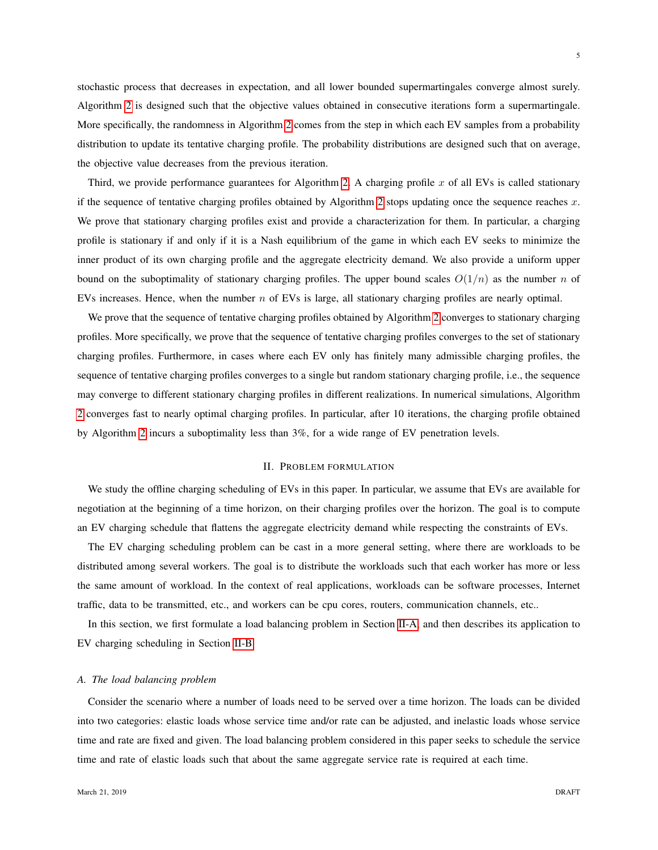stochastic process that decreases in expectation, and all lower bounded supermartingales converge almost surely. Algorithm [2](#page-14-0) is designed such that the objective values obtained in consecutive iterations form a supermartingale. More specifically, the randomness in Algorithm [2](#page-14-0) comes from the step in which each EV samples from a probability distribution to update its tentative charging profile. The probability distributions are designed such that on average, the objective value decreases from the previous iteration.

Third, we provide performance guarantees for Algorithm [2.](#page-14-0) A charging profile  $x$  of all EVs is called stationary if the sequence of tentative charging profiles obtained by Algorithm [2](#page-14-0) stops updating once the sequence reaches  $x$ . We prove that stationary charging profiles exist and provide a characterization for them. In particular, a charging profile is stationary if and only if it is a Nash equilibrium of the game in which each EV seeks to minimize the inner product of its own charging profile and the aggregate electricity demand. We also provide a uniform upper bound on the suboptimality of stationary charging profiles. The upper bound scales  $O(1/n)$  as the number n of EVs increases. Hence, when the number n of EVs is large, all stationary charging profiles are nearly optimal.

We prove that the sequence of tentative charging profiles obtained by Algorithm [2](#page-14-0) converges to stationary charging profiles. More specifically, we prove that the sequence of tentative charging profiles converges to the set of stationary charging profiles. Furthermore, in cases where each EV only has finitely many admissible charging profiles, the sequence of tentative charging profiles converges to a single but random stationary charging profile, i.e., the sequence may converge to different stationary charging profiles in different realizations. In numerical simulations, Algorithm [2](#page-14-0) converges fast to nearly optimal charging profiles. In particular, after 10 iterations, the charging profile obtained by Algorithm [2](#page-14-0) incurs a suboptimality less than 3%, for a wide range of EV penetration levels.

# II. PROBLEM FORMULATION

We study the offline charging scheduling of EVs in this paper. In particular, we assume that EVs are available for negotiation at the beginning of a time horizon, on their charging profiles over the horizon. The goal is to compute an EV charging schedule that flattens the aggregate electricity demand while respecting the constraints of EVs.

The EV charging scheduling problem can be cast in a more general setting, where there are workloads to be distributed among several workers. The goal is to distribute the workloads such that each worker has more or less the same amount of workload. In the context of real applications, workloads can be software processes, Internet traffic, data to be transmitted, etc., and workers can be cpu cores, routers, communication channels, etc..

In this section, we first formulate a load balancing problem in Section [II-A,](#page-4-0) and then describes its application to EV charging scheduling in Section [II-B.](#page-6-0)

## <span id="page-4-0"></span>*A. The load balancing problem*

Consider the scenario where a number of loads need to be served over a time horizon. The loads can be divided into two categories: elastic loads whose service time and/or rate can be adjusted, and inelastic loads whose service time and rate are fixed and given. The load balancing problem considered in this paper seeks to schedule the service time and rate of elastic loads such that about the same aggregate service rate is required at each time.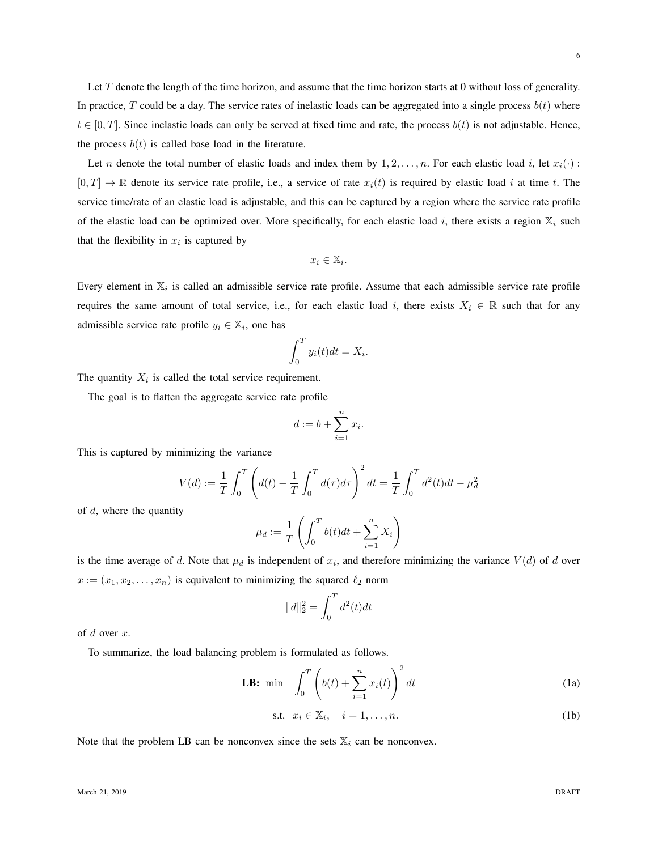Let  $T$  denote the length of the time horizon, and assume that the time horizon starts at 0 without loss of generality. In practice, T could be a day. The service rates of inelastic loads can be aggregated into a single process  $b(t)$  where  $t \in [0, T]$ . Since inelastic loads can only be served at fixed time and rate, the process  $b(t)$  is not adjustable. Hence, the process  $b(t)$  is called base load in the literature.

Let n denote the total number of elastic loads and index them by  $1, 2, \ldots, n$ . For each elastic load i, let  $x_i(\cdot)$ :  $[0, T] \to \mathbb{R}$  denote its service rate profile, i.e., a service of rate  $x_i(t)$  is required by elastic load i at time t. The service time/rate of an elastic load is adjustable, and this can be captured by a region where the service rate profile of the elastic load can be optimized over. More specifically, for each elastic load i, there exists a region  $\mathbb{X}_i$  such that the flexibility in  $x_i$  is captured by

$$
x_i \in \mathbb{X}_i.
$$

Every element in  $\mathbb{X}_i$  is called an admissible service rate profile. Assume that each admissible service rate profile requires the same amount of total service, i.e., for each elastic load i, there exists  $X_i \in \mathbb{R}$  such that for any admissible service rate profile  $y_i \in \mathbb{X}_i$ , one has

$$
\int_0^T y_i(t)dt = X_i.
$$

The quantity  $X_i$  is called the total service requirement.

The goal is to flatten the aggregate service rate profile

$$
d := b + \sum_{i=1}^{n} x_i
$$

.

This is captured by minimizing the variance

$$
V(d) := \frac{1}{T} \int_0^T \left( d(t) - \frac{1}{T} \int_0^T d(\tau) d\tau \right)^2 dt = \frac{1}{T} \int_0^T d^2(t) dt - \mu_d^2
$$

of  $d$ , where the quantity

$$
\mu_d := \frac{1}{T} \left( \int_0^T b(t)dt + \sum_{i=1}^n X_i \right)
$$

is the time average of d. Note that  $\mu_d$  is independent of  $x_i$ , and therefore minimizing the variance  $V(d)$  of d over  $x := (x_1, x_2, \dots, x_n)$  is equivalent to minimizing the squared  $\ell_2$  norm

<span id="page-5-0"></span>
$$
||d||_2^2 = \int_0^T d^2(t)dt
$$

of  $d$  over  $x$ .

To summarize, the load balancing problem is formulated as follows.

**LB:** min 
$$
\int_0^T \left( b(t) + \sum_{i=1}^n x_i(t) \right)^2 dt
$$
 (1a)

$$
\text{s.t. } x_i \in \mathbb{X}_i, \quad i = 1, \dots, n. \tag{1b}
$$

Note that the problem LB can be nonconvex since the sets  $\mathbb{X}_i$  can be nonconvex.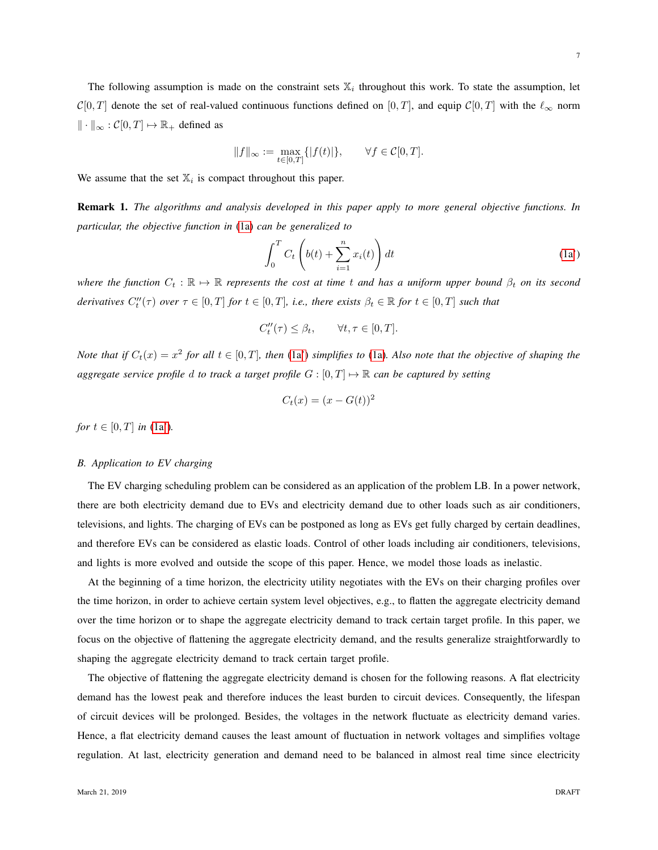The following assumption is made on the constraint sets  $\mathbb{X}_i$  throughout this work. To state the assumption, let  $C[0, T]$  denote the set of real-valued continuous functions defined on  $[0, T]$ , and equip  $C[0, T]$  with the  $\ell_{\infty}$  norm  $\Vert \cdot \Vert_{\infty} : \mathcal{C}[0,T] \mapsto \mathbb{R}_{+}$  defined as

$$
||f||_{\infty} := \max_{t \in [0,T]} \{ |f(t)| \}, \qquad \forall f \in \mathcal{C}[0,T].
$$

We assume that the set  $\mathbb{X}_i$  is compact throughout this paper.

Remark 1. *The algorithms and analysis developed in this paper apply to more general objective functions. In particular, the objective function in* [\(1a\)](#page-5-0) *can be generalized to*

<span id="page-6-1"></span>
$$
\int_0^T C_t \left( b(t) + \sum_{i=1}^n x_i(t) \right) dt \tag{1a'}
$$

*where the function*  $C_t : \mathbb{R} \to \mathbb{R}$  *represents the cost at time t and has a uniform upper bound*  $\beta_t$  *on its second derivatives*  $C_t''(\tau)$  *over*  $\tau \in [0, T]$  *for*  $t \in [0, T]$ *, i.e., there exists*  $\beta_t \in \mathbb{R}$  *for*  $t \in [0, T]$  *such that* 

$$
C_t''(\tau) \le \beta_t, \qquad \forall t, \tau \in [0, T].
$$

*Note that if*  $C_t(x) = x^2$  *for all*  $t \in [0, T]$ *, then* [\(1a'\)](#page-6-1) *simplifies to* [\(1a\)](#page-5-0)*. Also note that the objective of shaping the aggregate service profile* d to track a target profile  $G : [0, T] \rightarrow \mathbb{R}$  can be captured by setting

$$
C_t(x) = (x - G(t))^2
$$

*for*  $t \in [0, T]$  *in* [\(1a'\)](#page-6-1).

## <span id="page-6-0"></span>*B. Application to EV charging*

The EV charging scheduling problem can be considered as an application of the problem LB. In a power network, there are both electricity demand due to EVs and electricity demand due to other loads such as air conditioners, televisions, and lights. The charging of EVs can be postponed as long as EVs get fully charged by certain deadlines, and therefore EVs can be considered as elastic loads. Control of other loads including air conditioners, televisions, and lights is more evolved and outside the scope of this paper. Hence, we model those loads as inelastic.

At the beginning of a time horizon, the electricity utility negotiates with the EVs on their charging profiles over the time horizon, in order to achieve certain system level objectives, e.g., to flatten the aggregate electricity demand over the time horizon or to shape the aggregate electricity demand to track certain target profile. In this paper, we focus on the objective of flattening the aggregate electricity demand, and the results generalize straightforwardly to shaping the aggregate electricity demand to track certain target profile.

The objective of flattening the aggregate electricity demand is chosen for the following reasons. A flat electricity demand has the lowest peak and therefore induces the least burden to circuit devices. Consequently, the lifespan of circuit devices will be prolonged. Besides, the voltages in the network fluctuate as electricity demand varies. Hence, a flat electricity demand causes the least amount of fluctuation in network voltages and simplifies voltage regulation. At last, electricity generation and demand need to be balanced in almost real time since electricity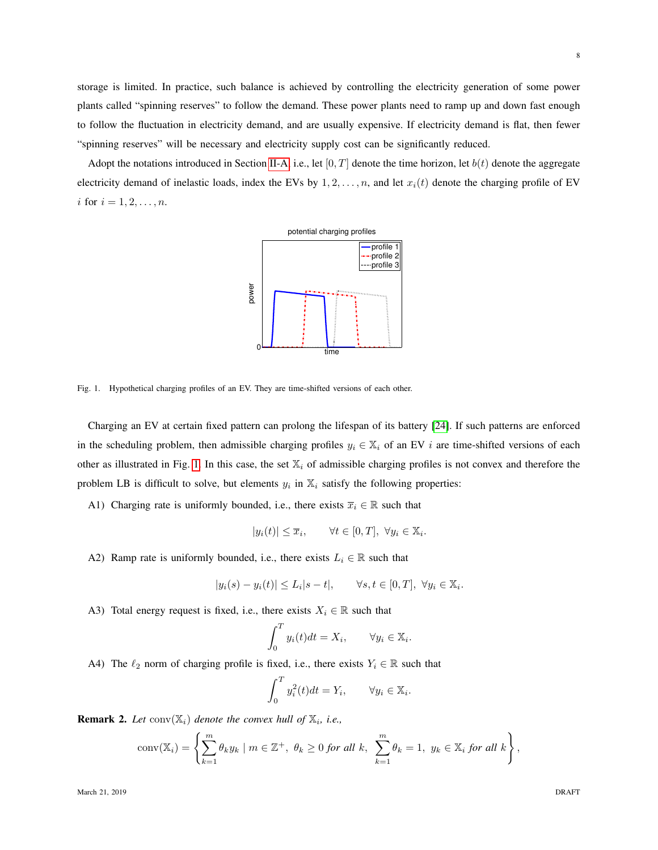storage is limited. In practice, such balance is achieved by controlling the electricity generation of some power plants called "spinning reserves" to follow the demand. These power plants need to ramp up and down fast enough to follow the fluctuation in electricity demand, and are usually expensive. If electricity demand is flat, then fewer "spinning reserves" will be necessary and electricity supply cost can be significantly reduced.

Adopt the notations introduced in Section [II-A,](#page-4-0) i.e., let [0, T] denote the time horizon, let  $b(t)$  denote the aggregate electricity demand of inelastic loads, index the EVs by  $1, 2, \ldots, n$ , and let  $x_i(t)$  denote the charging profile of EV *i* for  $i = 1, 2, ..., n$ .



<span id="page-7-0"></span>Fig. 1. Hypothetical charging profiles of an EV. They are time-shifted versions of each other.

Charging an EV at certain fixed pattern can prolong the lifespan of its battery [\[24\]](#page-23-2). If such patterns are enforced in the scheduling problem, then admissible charging profiles  $y_i \in \mathbb{X}_i$  of an EV i are time-shifted versions of each other as illustrated in Fig. [1.](#page-7-0) In this case, the set  $\mathbb{X}_i$  of admissible charging profiles is not convex and therefore the problem LB is difficult to solve, but elements  $y_i$  in  $\mathbb{X}_i$  satisfy the following properties:

A1) Charging rate is uniformly bounded, i.e., there exists  $\overline{x}_i \in \mathbb{R}$  such that

$$
|y_i(t)| \le \overline{x}_i, \qquad \forall t \in [0, T], \ \forall y_i \in \mathbb{X}_i.
$$

A2) Ramp rate is uniformly bounded, i.e., there exists  $L_i \in \mathbb{R}$  such that

$$
|y_i(s) - y_i(t)| \le L_i|s - t|, \qquad \forall s, t \in [0, T], \ \forall y_i \in \mathbb{X}_i.
$$

A3) Total energy request is fixed, i.e., there exists  $X_i \in \mathbb{R}$  such that

$$
\int_0^T y_i(t)dt = X_i, \qquad \forall y_i \in \mathbb{X}_i.
$$

A4) The  $\ell_2$  norm of charging profile is fixed, i.e., there exists  $Y_i \in \mathbb{R}$  such that

$$
\int_0^T y_i^2(t)dt = Y_i, \qquad \forall y_i \in \mathbb{X}_i.
$$

<span id="page-7-1"></span>**Remark 2.** Let  $\text{conv}(\mathbb{X}_i)$  denote the convex hull of  $\mathbb{X}_i$ , i.e.,

$$
conv(\mathbb{X}_i) = \left\{\sum_{k=1}^m \theta_k y_k \mid m \in \mathbb{Z}^+, \ \theta_k \geq 0 \text{ for all } k, \ \sum_{k=1}^m \theta_k = 1, \ y_k \in \mathbb{X}_i \text{ for all } k \right\},\
$$

March 21, 2019 **DRAFT**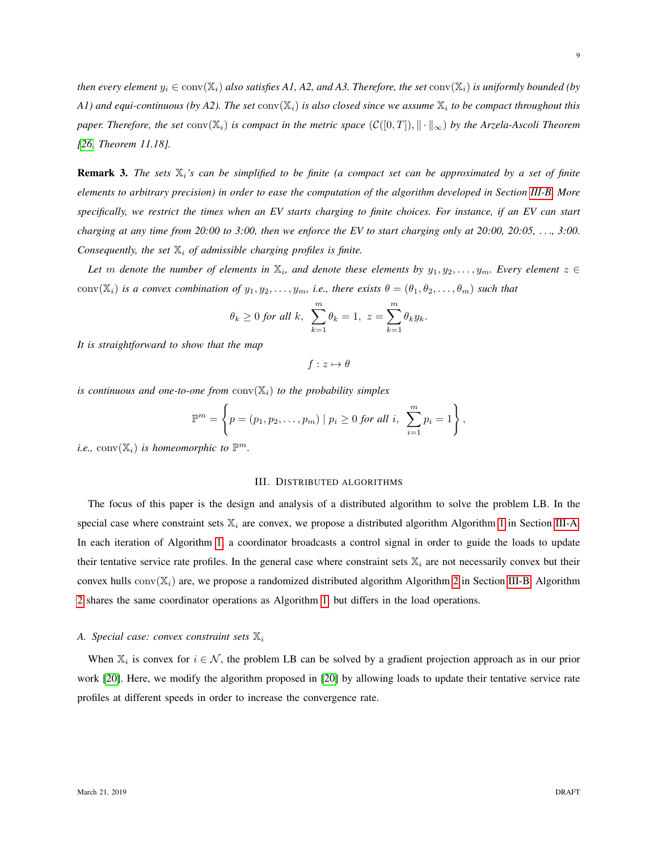*then every element*  $y_i \in \text{conv}(\mathbb{X}_i)$  *also satisfies A1, A2, and A3. Therefore, the set*  $\text{conv}(\mathbb{X}_i)$  *is uniformly bounded (by* A1) and equi-continuous (by A2). The set  $\text{conv}(\mathbb{X}_i)$  is also closed since we assume  $\mathbb{X}_i$  to be compact throughout this *paper. Therefore, the set* conv( $\mathbb{X}_i$ ) *is compact in the metric space* ( $\mathcal{C}([0,T])$ ,  $\|\cdot\|_{\infty}$ ) *by the Arzela-Ascoli Theorem [\[26,](#page-23-4) Theorem 11.18].*

<span id="page-8-1"></span>Remark 3. *The sets* Xi*'s can be simplified to be finite (a compact set can be approximated by a set of finite elements to arbitrary precision) in order to ease the computation of the algorithm developed in Section [III-B.](#page-12-0) More specifically, we restrict the times when an EV starts charging to finite choices. For instance, if an EV can start charging at any time from 20:00 to 3:00, then we enforce the EV to start charging only at 20:00, 20:05,* . . .*, 3:00. Consequently, the set*  $\mathbb{X}_i$  *of admissible charging profiles is finite.* 

Let  $m$  denote the number of elements in  $\mathbb{X}_i$ , and denote these elements by  $y_1, y_2, \ldots, y_m$ . Every element  $z \in$ conv $(X_i)$  *is a convex combination of*  $y_1, y_2, \ldots, y_m$ *, i.e., there exists*  $\theta = (\theta_1, \theta_2, \ldots, \theta_m)$  *such that* 

$$
\theta_k \ge 0
$$
 for all  $k$ ,  $\sum_{k=1}^m \theta_k = 1$ ,  $z = \sum_{k=1}^m \theta_k y_k$ .

*It is straightforward to show that the map*

$$
f: z \mapsto \theta
$$

*is continuous and one-to-one from*  $conv(\mathbb{X}_i)$  *to the probability simplex* 

$$
\mathbb{P}^m = \left\{ p = (p_1, p_2, \dots, p_m) \mid p_i \geq 0 \text{ for all } i, \sum_{i=1}^m p_i = 1 \right\}
$$

,

*i.e.*,  $conv(\mathbb{X}_i)$  *is homeomorphic to*  $\mathbb{P}^m$ *.* 

## III. DISTRIBUTED ALGORITHMS

The focus of this paper is the design and analysis of a distributed algorithm to solve the problem LB. In the special case where constraint sets  $\mathbb{X}_i$  are convex, we propose a distributed algorithm Algorithm [1](#page-9-0) in Section [III-A.](#page-8-0) In each iteration of Algorithm [1,](#page-9-0) a coordinator broadcasts a control signal in order to guide the loads to update their tentative service rate profiles. In the general case where constraint sets  $\mathbb{X}_i$  are not necessarily convex but their convex hulls  $conv(\mathbb{X}_i)$  are, we propose a randomized distributed algorithm Algorithm [2](#page-14-0) in Section [III-B.](#page-12-0) Algorithm [2](#page-14-0) shares the same coordinator operations as Algorithm [1,](#page-9-0) but differs in the load operations.

# <span id="page-8-0"></span>*A. Special case: convex constraint sets*  $\mathbb{X}_i$

When  $\mathbb{X}_i$  is convex for  $i \in \mathcal{N}$ , the problem LB can be solved by a gradient projection approach as in our prior work [\[20\]](#page-22-17). Here, we modify the algorithm proposed in [\[20\]](#page-22-17) by allowing loads to update their tentative service rate profiles at different speeds in order to increase the convergence rate.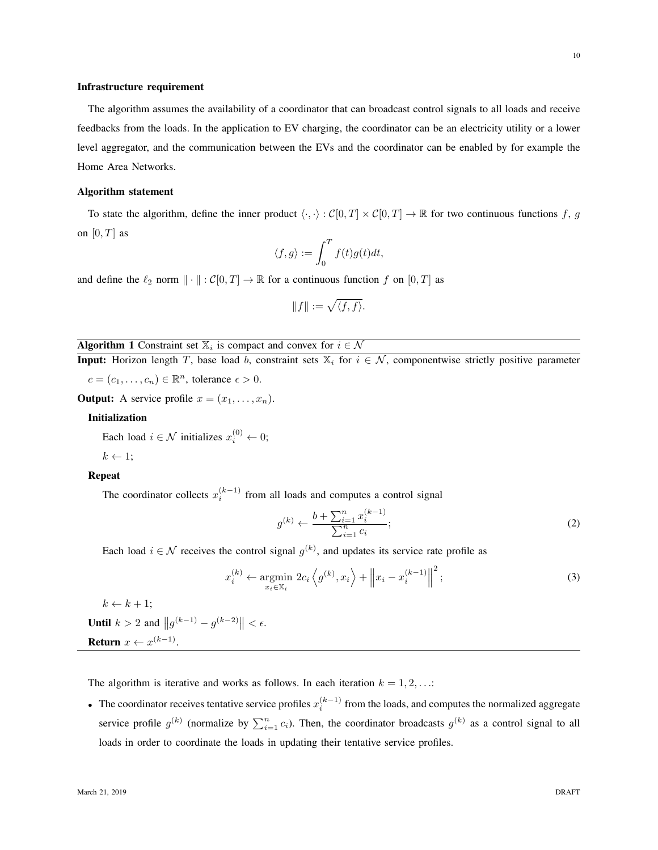# Infrastructure requirement

The algorithm assumes the availability of a coordinator that can broadcast control signals to all loads and receive feedbacks from the loads. In the application to EV charging, the coordinator can be an electricity utility or a lower level aggregator, and the communication between the EVs and the coordinator can be enabled by for example the Home Area Networks.

#### Algorithm statement

To state the algorithm, define the inner product  $\langle \cdot, \cdot \rangle : C[0,T] \times C[0,T] \to \mathbb{R}$  for two continuous functions f, g on  $[0, T]$  as

$$
\langle f, g \rangle := \int_0^T f(t)g(t)dt,
$$

and define the  $\ell_2$  norm  $\|\cdot\| : \mathcal{C}[0,T] \to \mathbb{R}$  for a continuous function f on  $[0,T]$  as

$$
||f||:=\sqrt{\langle f,f\rangle}.
$$

# <span id="page-9-0"></span>**Algorithm 1** Constraint set  $\mathbb{X}_i$  is compact and convex for  $i \in \mathcal{N}$

**Input:** Horizon length T, base load b, constraint sets  $\mathbb{X}_i$  for  $i \in \mathcal{N}$ , componentwise strictly positive parameter  $c = (c_1, \ldots, c_n) \in \mathbb{R}^n$ , tolerance  $\epsilon > 0$ .

**Output:** A service profile  $x = (x_1, \ldots, x_n)$ .

#### Initialization

Each load  $i \in \mathcal{N}$  initializes  $x_i^{(0)} \leftarrow 0$ ;

$$
k \leftarrow 1;
$$

#### Repeat

The coordinator collects  $x_i^{(k-1)}$  from all loads and computes a control signal

$$
g^{(k)} \leftarrow \frac{b + \sum_{i=1}^{n} x_i^{(k-1)}}{\sum_{i=1}^{n} c_i};\tag{2}
$$

Each load  $i \in \mathcal{N}$  receives the control signal  $g^{(k)}$ , and updates its service rate profile as

<span id="page-9-1"></span>
$$
x_i^{(k)} \leftarrow \underset{x_i \in \mathbb{X}_i}{\text{argmin}} \ 2c_i \left\langle g^{(k)}, x_i \right\rangle + \left\| x_i - x_i^{(k-1)} \right\|^2; \tag{3}
$$

 $k \leftarrow k + 1$ ;

**Until**  $k > 2$  and  $||g^{(k-1)} - g^{(k-2)}|| < \epsilon$ . Return  $x \leftarrow x^{(k-1)}$ .

The algorithm is iterative and works as follows. In each iteration  $k = 1, 2, \ldots$ :

• The coordinator receives tentative service profiles  $x_i^{(k-1)}$  from the loads, and computes the normalized aggregate service profile  $g^{(k)}$  (normalize by  $\sum_{i=1}^{n} c_i$ ). Then, the coordinator broadcasts  $g^{(k)}$  as a control signal to all loads in order to coordinate the loads in updating their tentative service profiles.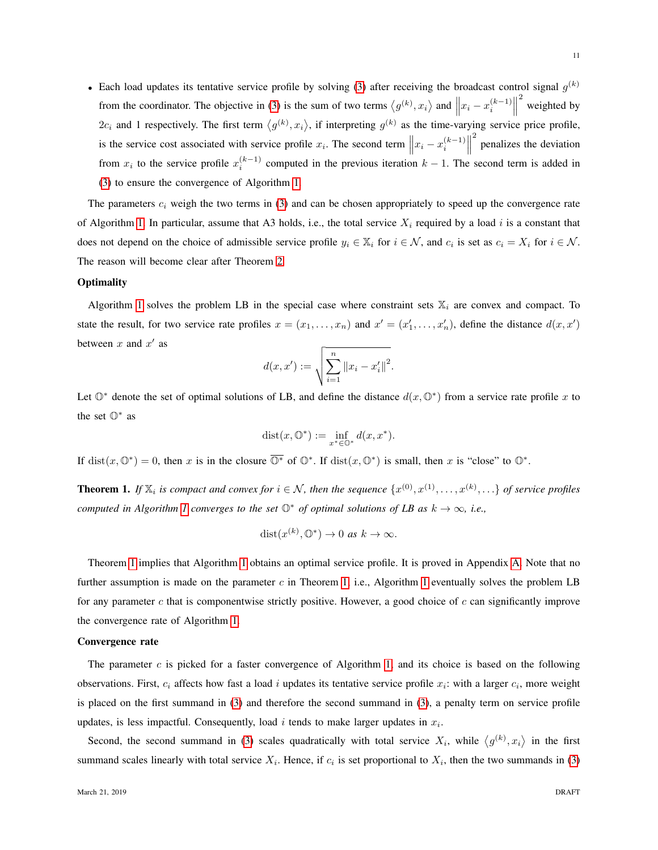• Each load updates its tentative service profile by solving [\(3\)](#page-9-1) after receiving the broadcast control signal  $g^{(k)}$ from the coordinator. The objective in [\(3\)](#page-9-1) is the sum of two terms  $\langle g^{(k)}, x_i \rangle$  and  $||x_i - x_i^{(k-1)}||$  $\biggl\| \biggr.$ 2 weighted by  $2c_i$  and 1 respectively. The first term  $\langle g^{(k)}, x_i \rangle$ , if interpreting  $g^{(k)}$  as the time-varying service price profile, is the service cost associated with service profile  $x_i$ . The second term  $||x_i - x_i^{(k-1)}||$  $\biggl\| \biggr\|$ <sup>2</sup> penalizes the deviation from  $x_i$  to the service profile  $x_i^{(k-1)}$  computed in the previous iteration  $k-1$ . The second term is added in [\(3\)](#page-9-1) to ensure the convergence of Algorithm [1.](#page-9-0)

The parameters  $c_i$  weigh the two terms in [\(3\)](#page-9-1) and can be chosen appropriately to speed up the convergence rate of Algorithm [1.](#page-9-0) In particular, assume that A3 holds, i.e., the total service  $X_i$  required by a load i is a constant that does not depend on the choice of admissible service profile  $y_i \in X_i$  for  $i \in \mathcal{N}$ , and  $c_i$  is set as  $c_i = X_i$  for  $i \in \mathcal{N}$ . The reason will become clear after Theorem [2.](#page-11-0)

## **Optimality**

Algorithm [1](#page-9-0) solves the problem LB in the special case where constraint sets  $\mathbb{X}_i$  are convex and compact. To state the result, for two service rate profiles  $x = (x_1, \ldots, x_n)$  and  $x' = (x'_1, \ldots, x'_n)$ , define the distance  $d(x, x')$ between  $x$  and  $x'$  as

$$
d(x, x') := \sqrt{\sum_{i=1}^{n} ||x_i - x'_i||^2}.
$$

Let  $\mathbb{O}^*$  denote the set of optimal solutions of LB, and define the distance  $d(x, \mathbb{O}^*)$  from a service rate profile x to the set  $\mathbb{O}^*$  as

$$
\text{dist}(x, \mathbb{O}^*) := \inf_{x^* \in \mathbb{O}^*} d(x, x^*).
$$

If  $dist(x, \mathbb{O}^*) = 0$ , then x is in the closure  $\mathbb{O}^*$  of  $\mathbb{O}^*$ . If  $dist(x, \mathbb{O}^*)$  is small, then x is "close" to  $\mathbb{O}^*$ .

<span id="page-10-0"></span>**Theorem 1.** If  $\mathbb{X}_i$  is compact and convex for  $i \in \mathcal{N}$ , then the sequence  $\{x^{(0)}, x^{(1)}, \ldots, x^{(k)}, \ldots\}$  of service profiles *computed in Algorithm [1](#page-9-0) converges to the set*  $\mathbb{O}^*$  *of optimal solutions of LB as*  $k \to \infty$ *, i.e.,* 

$$
dist(x^{(k)}, \mathbb{O}^*) \to 0 \text{ as } k \to \infty.
$$

Theorem [1](#page-10-0) implies that Algorithm [1](#page-9-0) obtains an optimal service profile. It is proved in Appendix [A.](#page-23-5) Note that no further assumption is made on the parameter  $c$  in Theorem [1,](#page-9-0) i.e., Algorithm [1](#page-9-0) eventually solves the problem LB for any parameter  $c$  that is componentwise strictly positive. However, a good choice of  $c$  can significantly improve the convergence rate of Algorithm [1.](#page-9-0)

## Convergence rate

The parameter  $c$  is picked for a faster convergence of Algorithm [1,](#page-9-0) and its choice is based on the following observations. First,  $c_i$  affects how fast a load i updates its tentative service profile  $x_i$ : with a larger  $c_i$ , more weight is placed on the first summand in [\(3\)](#page-9-1) and therefore the second summand in [\(3\)](#page-9-1), a penalty term on service profile updates, is less impactful. Consequently, load  $i$  tends to make larger updates in  $x_i$ .

Second, the second summand in [\(3\)](#page-9-1) scales quadratically with total service  $X_i$ , while  $\langle g^{(k)}, x_i \rangle$  in the first summand scales linearly with total service  $X_i$ . Hence, if  $c_i$  is set proportional to  $X_i$ , then the two summands in [\(3\)](#page-9-1)

11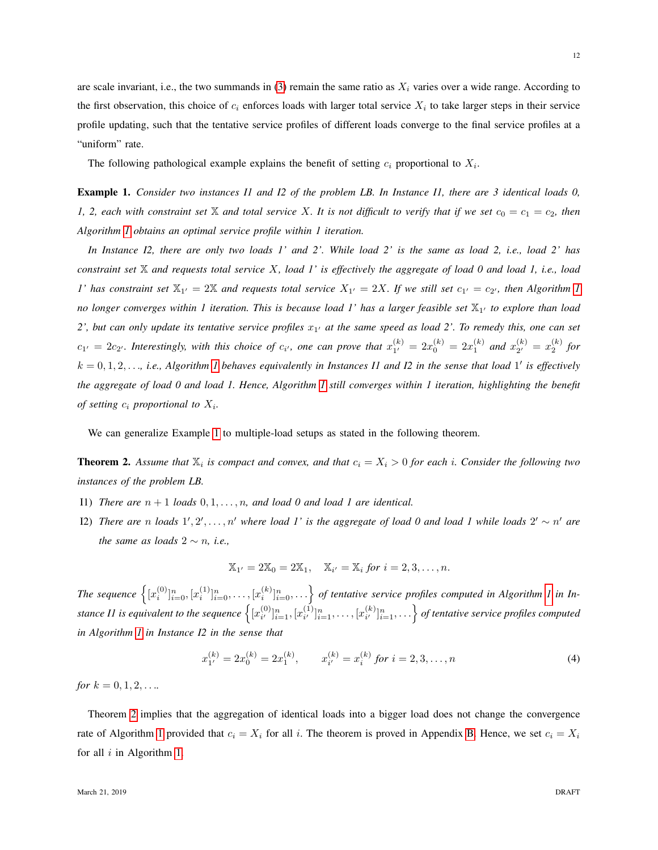are scale invariant, i.e., the two summands in  $(3)$  remain the same ratio as  $X_i$  varies over a wide range. According to the first observation, this choice of  $c_i$  enforces loads with larger total service  $X_i$  to take larger steps in their service profile updating, such that the tentative service profiles of different loads converge to the final service profiles at a "uniform" rate.

The following pathological example explains the benefit of setting  $c_i$  proportional to  $X_i$ .

<span id="page-11-1"></span>Example 1. *Consider two instances I1 and I2 of the problem LB. In Instance I1, there are 3 identical loads 0, 1, 2, each with constraint set*  $X$  *and total service* X*. It is not difficult to verify that if we set*  $c_0 = c_1 = c_2$ *, then Algorithm [1](#page-9-0) obtains an optimal service profile within 1 iteration.*

*In Instance I2, there are only two loads 1' and 2'. While load 2' is the same as load 2, i.e., load 2' has constraint set* X *and requests total service* X*, load 1' is effectively the aggregate of load 0 and load 1, i.e., load 1'* has constraint set  $\mathbb{X}_{1'} = 2\mathbb{X}$  and requests total service  $X_{1'} = 2X$ . If we still set  $c_{1'} = c_{2'}$ , then Algorithm [1](#page-9-0) no longer converges within 1 iteration. This is because load 1' has a larger feasible set  $\mathbb{X}_{1'}$  to explore than load  $2'$ , but can only update its tentative service profiles  $x_{1'}$  at the same speed as load  $2'$ . To remedy this, one can set  $c_{1'} = 2c_{2'}$ . Interestingly, with this choice of  $c_{i'}$ , one can prove that  $x_{1'}^{(k)}$  $\binom{k}{1'} = 2x_0^{(k)} = 2x_1^{(k)}$  and  $x_{2'}^{(k)}$  $\binom{k}{2'} = x_2^{(k)}$  for  $k = 0, 1, 2, \ldots$  $k = 0, 1, 2, \ldots$  $k = 0, 1, 2, \ldots$ , *i.e., Algorithm 1 behaves equivalently in Instances I1 and I2 in the sense that load 1' is effectively the aggregate of load 0 and load 1. Hence, Algorithm [1](#page-9-0) still converges within 1 iteration, highlighting the benefit of setting*  $c_i$  *proportional to*  $X_i$ *.* 

We can generalize Example [1](#page-11-1) to multiple-load setups as stated in the following theorem.

<span id="page-11-0"></span>**Theorem 2.** Assume that  $\mathbb{X}_i$  is compact and convex, and that  $c_i = X_i > 0$  for each i. Consider the following two *instances of the problem LB.*

- I1) *There are*  $n + 1$  *loads*  $0, 1, \ldots, n$ *, and load* 0 *and load* 1 *are identical.*
- $(12)$  There are n loads  $1', 2', \ldots, n'$  where load 1' is the aggregate of load 0 and load 1 while loads  $2' \sim n'$  are *the same as loads*  $2 \sim n$ *, i.e.,*

$$
\mathbb{X}_{1'} = 2\mathbb{X}_{0} = 2\mathbb{X}_{1}, \quad \mathbb{X}_{i'} = \mathbb{X}_{i} \text{ for } i = 2, 3, \ldots, n.
$$

The sequence  $\left\{ [x_i^{(0)}]_{i=0}^n, [x_i^{(1)}]_{i=0}^n, \ldots, [x_i^{(k)}]_{i=0}^n, \ldots \right\}$  of tentative service profiles computed in Algorithm [1](#page-9-0) in In*stance II is equivalent to the sequence*  $\left\{ \left[ x_{i}^{(0)} \right] \right\}$  $\substack{(0) \\ i'}$   $\substack{n \\ i=1}$ ,  $\substack{(x_i^{(1)} \dots )}$  $\substack{(1) \\ i'}$   $\substack{n \\ i=1}$ , ...,  $\substack{(x_i^{(k)} \\ i'}$  $\{S^{(k)}_{ii}\}_{i=1}^n, \ldots \}$  of tentative service profiles computed *in Algorithm [1](#page-9-0) in Instance I2 in the sense that*

<span id="page-11-2"></span>
$$
x_{1'}^{(k)} = 2x_0^{(k)} = 2x_1^{(k)}, \qquad x_{i'}^{(k)} = x_i^{(k)} \text{ for } i = 2, 3, \dots, n
$$
 (4)

*for*  $k = 0, 1, 2, \ldots$ 

Theorem [2](#page-11-0) implies that the aggregation of identical loads into a bigger load does not change the convergence rate of Algorithm [1](#page-9-0) provided that  $c_i = X_i$  for all i. The theorem is proved in Appendix [B.](#page-24-0) Hence, we set  $c_i = X_i$ for all  $i$  in Algorithm [1.](#page-9-0)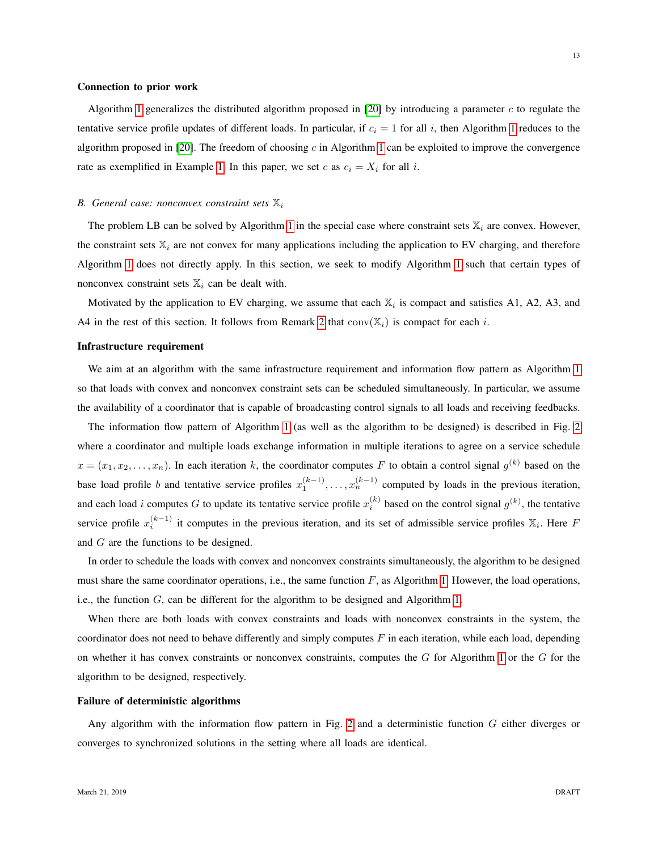# Connection to prior work

Algorithm [1](#page-9-0) generalizes the distributed algorithm proposed in [\[20\]](#page-22-17) by introducing a parameter  $c$  to regulate the tentative service profile updates of different loads. In particular, if  $c_i = 1$  $c_i = 1$  for all i, then Algorithm 1 reduces to the algorithm proposed in [\[20\]](#page-22-17). The freedom of choosing  $c$  in Algorithm [1](#page-9-0) can be exploited to improve the convergence rate as exemplified in Example [1.](#page-11-1) In this paper, we set c as  $c_i = X_i$  for all i.

# <span id="page-12-0"></span>*B. General case: nonconvex constraint sets*  $\mathbb{X}_i$

The problem LB can be solved by Algorithm [1](#page-9-0) in the special case where constraint sets  $\mathbb{X}_i$  are convex. However, the constraint sets  $\mathbb{X}_i$  are not convex for many applications including the application to EV charging, and therefore Algorithm [1](#page-9-0) does not directly apply. In this section, we seek to modify Algorithm [1](#page-9-0) such that certain types of nonconvex constraint sets  $\mathbb{X}_i$  can be dealt with.

Motivated by the application to EV charging, we assume that each  $\mathbb{X}_i$  is compact and satisfies A1, A2, A3, and A4 in the rest of this section. It follows from Remark [2](#page-7-1) that  $conv(X_i)$  is compact for each i.

# Infrastructure requirement

We aim at an algorithm with the same infrastructure requirement and information flow pattern as Algorithm [1](#page-9-0) so that loads with convex and nonconvex constraint sets can be scheduled simultaneously. In particular, we assume the availability of a coordinator that is capable of broadcasting control signals to all loads and receiving feedbacks.

The information flow pattern of Algorithm [1](#page-9-0) (as well as the algorithm to be designed) is described in Fig. [2](#page-13-0) where a coordinator and multiple loads exchange information in multiple iterations to agree on a service schedule  $x = (x_1, x_2, \dots, x_n)$ . In each iteration k, the coordinator computes F to obtain a control signal  $g^{(k)}$  based on the base load profile b and tentative service profiles  $x_1^{(k-1)}$ , ...,  $x_n^{(k-1)}$  computed by loads in the previous iteration, and each load *i* computes G to update its tentative service profile  $x_i^{(k)}$  based on the control signal  $g^{(k)}$ , the tentative service profile  $x_i^{(k-1)}$  it computes in the previous iteration, and its set of admissible service profiles  $\mathbb{X}_i$ . Here F and G are the functions to be designed.

In order to schedule the loads with convex and nonconvex constraints simultaneously, the algorithm to be designed must share the same coordinator operations, i.e., the same function  $F$ , as Algorithm [1.](#page-9-0) However, the load operations, i.e., the function G, can be different for the algorithm to be designed and Algorithm [1.](#page-9-0)

When there are both loads with convex constraints and loads with nonconvex constraints in the system, the coordinator does not need to behave differently and simply computes  $F$  in each iteration, while each load, depending on whether it has convex constraints or nonconvex constraints, computes the  $G$  for Algorithm [1](#page-9-0) or the  $G$  for the algorithm to be designed, respectively.

## Failure of deterministic algorithms

Any algorithm with the information flow pattern in Fig. [2](#page-13-0) and a deterministic function  $G$  either diverges or converges to synchronized solutions in the setting where all loads are identical.

13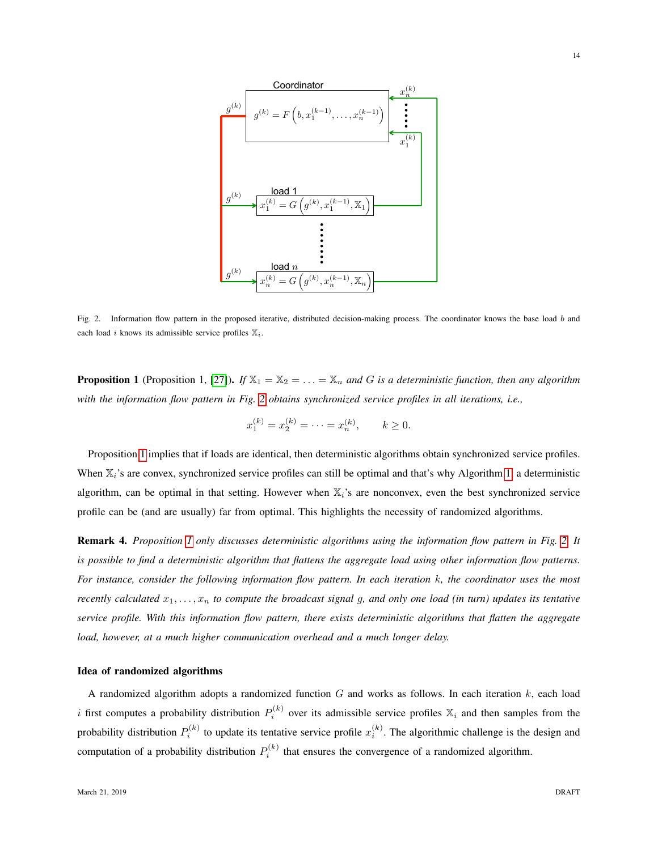

<span id="page-13-0"></span>Fig. 2. Information flow pattern in the proposed iterative, distributed decision-making process. The coordinator knows the base load b and each load i knows its admissible service profiles  $\mathbb{X}_i$ .

<span id="page-13-1"></span>**Proposition 1** (Proposition 1, [\[27\]](#page-23-6)). *If*  $\mathbb{X}_1 = \mathbb{X}_2 = \ldots = \mathbb{X}_n$  *and G is a deterministic function, then any algorithm with the information flow pattern in Fig. [2](#page-13-0) obtains synchronized service profiles in all iterations, i.e.,*

$$
x_1^{(k)} = x_2^{(k)} = \cdots = x_n^{(k)}, \qquad k \ge 0.
$$

Proposition [1](#page-13-1) implies that if loads are identical, then deterministic algorithms obtain synchronized service profiles. When  $\mathbb{X}_i$ 's are convex, synchronized service profiles can still be optimal and that's why Algorithm [1,](#page-9-0) a deterministic algorithm, can be optimal in that setting. However when  $\mathbb{X}_i$ 's are nonconvex, even the best synchronized service profile can be (and are usually) far from optimal. This highlights the necessity of randomized algorithms.

Remark 4. *Proposition [1](#page-13-1) only discusses deterministic algorithms using the information flow pattern in Fig. [2.](#page-13-0) It is possible to find a deterministic algorithm that flattens the aggregate load using other information flow patterns. For instance, consider the following information flow pattern. In each iteration* k*, the coordinator uses the most recently calculated*  $x_1, \ldots, x_n$  *to compute the broadcast signal g, and only one load (in turn) updates its tentative service profile. With this information flow pattern, there exists deterministic algorithms that flatten the aggregate load, however, at a much higher communication overhead and a much longer delay.*

## Idea of randomized algorithms

A randomized algorithm adopts a randomized function  $G$  and works as follows. In each iteration  $k$ , each load i first computes a probability distribution  $P_i^{(k)}$  over its admissible service profiles  $\mathbb{X}_i$  and then samples from the probability distribution  $P_i^{(k)}$  to update its tentative service profile  $x_i^{(k)}$ . The algorithmic challenge is the design and computation of a probability distribution  $P_i^{(k)}$  that ensures the convergence of a randomized algorithm.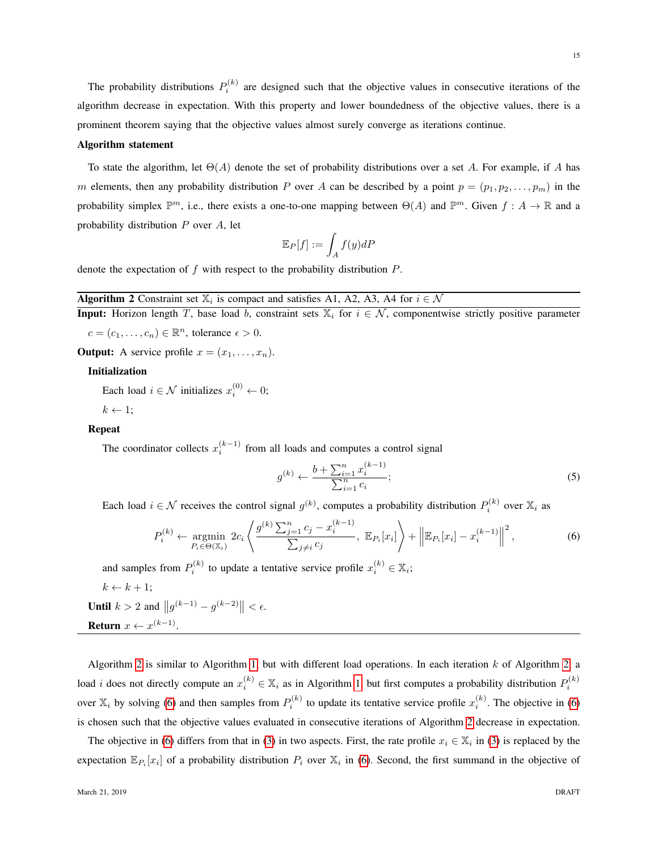The probability distributions  $P_i^{(k)}$  are designed such that the objective values in consecutive iterations of the algorithm decrease in expectation. With this property and lower boundedness of the objective values, there is a prominent theorem saying that the objective values almost surely converge as iterations continue.

## Algorithm statement

To state the algorithm, let  $\Theta(A)$  denote the set of probability distributions over a set A. For example, if A has m elements, then any probability distribution P over A can be described by a point  $p = (p_1, p_2, \ldots, p_m)$  in the probability simplex  $\mathbb{P}^m$ , i.e., there exists a one-to-one mapping between  $\Theta(A)$  and  $\mathbb{P}^m$ . Given  $f: A \to \mathbb{R}$  and a probability distribution  $P$  over  $A$ , let

$$
\mathbb{E}_P[f] := \int_A f(y) dP
$$

denote the expectation of  $f$  with respect to the probability distribution  $P$ .

# <span id="page-14-0"></span>**Algorithm 2** Constraint set  $\mathbb{X}_i$  is compact and satisfies A1, A2, A3, A4 for  $i \in \mathcal{N}$

**Input:** Horizon length T, base load b, constraint sets  $\mathbb{X}_i$  for  $i \in \mathcal{N}$ , componentwise strictly positive parameter  $c = (c_1, \ldots, c_n) \in \mathbb{R}^n$ , tolerance  $\epsilon > 0$ .

**Output:** A service profile  $x = (x_1, \ldots, x_n)$ .

# Initialization

Each load  $i \in \mathcal{N}$  initializes  $x_i^{(0)} \leftarrow 0$ ;

 $k \leftarrow 1$ ;

# Repeat

The coordinator collects  $x_i^{(k-1)}$  from all loads and computes a control signal

$$
g^{(k)} \leftarrow \frac{b + \sum_{i=1}^{n} x_i^{(k-1)}}{\sum_{i=1}^{n} c_i};
$$
\n<sup>(5)</sup>

Each load  $i \in \mathcal{N}$  receives the control signal  $g^{(k)}$ , computes a probability distribution  $P_i^{(k)}$  over  $\mathbb{X}_i$  as

<span id="page-14-1"></span>
$$
P_i^{(k)} \leftarrow \underset{P_i \in \Theta(\mathbb{X}_i)}{\text{argmin}} 2c_i \left\langle \frac{g^{(k)} \sum_{j=1}^n c_j - x_i^{(k-1)}}{\sum_{j \neq i} c_j}, \mathbb{E}_{P_i}[x_i] \right\rangle + \left\| \mathbb{E}_{P_i}[x_i] - x_i^{(k-1)} \right\|^2, \tag{6}
$$

and samples from  $P_i^{(k)}$  to update a tentative service profile  $x_i^{(k)} \in \mathbb{X}_i$ ;

$$
k \leftarrow k + 1;
$$

**Until**  $k > 2$  and  $||g^{(k-1)} - g^{(k-2)}|| < \epsilon$ .

Return  $x \leftarrow x^{(k-1)}$ .

Algorithm [2](#page-14-0) is similar to Algorithm [1,](#page-9-0) but with different load operations. In each iteration  $k$  of Algorithm [2,](#page-14-0) a load *i* does not directly compute an  $x_i^{(k)} \in \mathbb{X}_i$  as in Algorithm [1,](#page-9-0) but first computes a probability distribution  $P_i^{(k)}$ over  $\mathbb{X}_i$  by solving [\(6\)](#page-14-1) and then samples from  $P_i^{(k)}$  to update its tentative service profile  $x_i^{(k)}$ . The objective in (6) is chosen such that the objective values evaluated in consecutive iterations of Algorithm [2](#page-14-0) decrease in expectation.

The objective in [\(6\)](#page-14-1) differs from that in [\(3\)](#page-9-1) in two aspects. First, the rate profile  $x_i \in X_i$  in (3) is replaced by the expectation  $\mathbb{E}_{P_i}[x_i]$  of a probability distribution  $P_i$  over  $\mathbb{X}_i$  in [\(6\)](#page-14-1). Second, the first summand in the objective of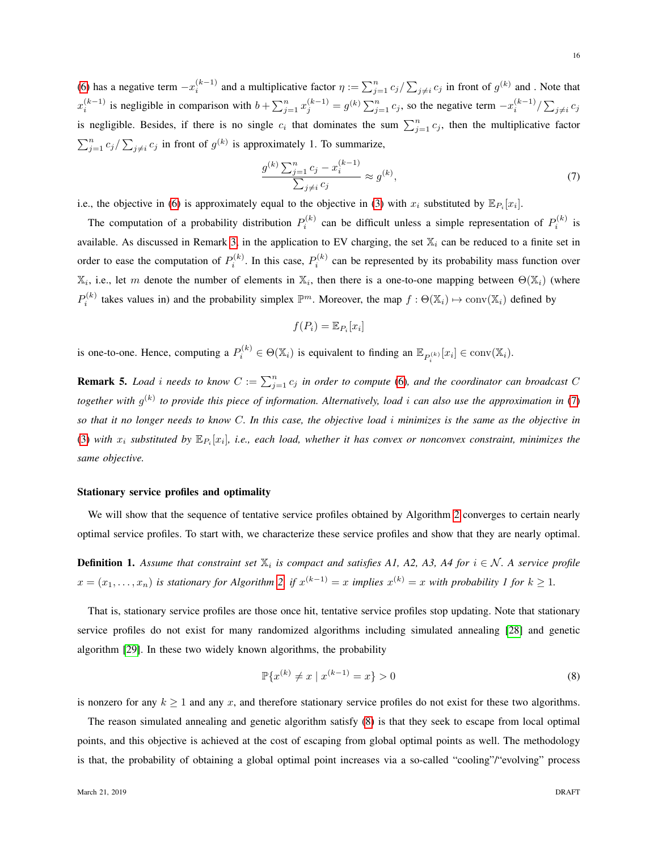[\(6\)](#page-14-1) has a negative term  $-x_i^{(k-1)}$  and a multiplicative factor  $\eta := \sum_{j=1}^n c_j / \sum_{j\neq i} c_j$  in front of  $g^{(k)}$  and . Note that  $x_i^{(k-1)}$  is negligible in comparison with  $b + \sum_{j=1}^n x_j^{(k-1)} = g^{(k)} \sum_{j=1}^n c_j$ , so the negative term  $-x_i^{(k-1)}/\sum_{j \neq i} c_j$ is negligible. Besides, if there is no single  $c_i$  that dominates the sum  $\sum_{j=1}^n c_j$ , then the multiplicative factor  $\sum_{j=1}^{n} c_j / \sum_{j \neq i} c_j$  in front of  $g^{(k)}$  is approximately 1. To summarize,

<span id="page-15-0"></span>
$$
\frac{g^{(k)}\sum_{j=1}^{n}c_j - x_i^{(k-1)}}{\sum_{j\neq i}c_j} \approx g^{(k)},\tag{7}
$$

i.e., the objective in [\(6\)](#page-14-1) is approximately equal to the objective in [\(3\)](#page-9-1) with  $x_i$  substituted by  $\mathbb{E}_{P_i}[x_i]$ .

The computation of a probability distribution  $P_i^{(k)}$  can be difficult unless a simple representation of  $P_i^{(k)}$  is available. As discussed in Remark [3,](#page-8-1) in the application to EV charging, the set  $\mathbb{X}_i$  can be reduced to a finite set in order to ease the computation of  $P_i^{(k)}$ . In this case,  $P_i^{(k)}$  can be represented by its probability mass function over  $\mathbb{X}_i$ , i.e., let m denote the number of elements in  $\mathbb{X}_i$ , then there is a one-to-one mapping between  $\Theta(\mathbb{X}_i)$  (where  $P_i^{(k)}$  takes values in) and the probability simplex  $\mathbb{P}^m$ . Moreover, the map  $f : \Theta(\mathbb{X}_i) \mapsto \text{conv}(\mathbb{X}_i)$  defined by

$$
f(P_i) = \mathbb{E}_{P_i}[x_i]
$$

is one-to-one. Hence, computing a  $P_i^{(k)} \in \Theta(\mathbb{X}_i)$  is equivalent to finding an  $\mathbb{E}_{P_i^{(k)}}[x_i] \in \text{conv}(\mathbb{X}_i)$ .

**Remark 5.** *Load i needs to know*  $C := \sum_{j=1}^{n} c_j$  *in order to compute* [\(6\)](#page-14-1)*, and the coordinator can broadcast*  $C$ together with  $g^{(k)}$  to provide this piece of information. Alternatively, load *i* can also use the approximation in [\(7\)](#page-15-0) *so that it no longer needs to know* C*. In this case, the objective load* i *minimizes is the same as the objective in* [\(3\)](#page-9-1) with  $x_i$  substituted by  $\mathbb{E}_{P_i}[x_i]$ , i.e., each load, whether it has convex or nonconvex constraint, minimizes the *same objective.*

## Stationary service profiles and optimality

We will show that the sequence of tentative service profiles obtained by Algorithm [2](#page-14-0) converges to certain nearly optimal service profiles. To start with, we characterize these service profiles and show that they are nearly optimal.

<span id="page-15-2"></span>**Definition 1.** Assume that constraint set  $\mathbb{X}_i$  is compact and satisfies A1, A2, A3, A4 for  $i \in \mathcal{N}$ . A service profile  $x = (x_1, \ldots, x_n)$  is stationary for Algorithm [2,](#page-14-0) if  $x^{(k-1)} = x$  implies  $x^{(k)} = x$  with probability 1 for  $k \ge 1$ .

That is, stationary service profiles are those once hit, tentative service profiles stop updating. Note that stationary service profiles do not exist for many randomized algorithms including simulated annealing [\[28\]](#page-23-7) and genetic algorithm [\[29\]](#page-23-8). In these two widely known algorithms, the probability

<span id="page-15-1"></span>
$$
\mathbb{P}\{x^{(k)} \neq x \mid x^{(k-1)} = x\} > 0\tag{8}
$$

is nonzero for any  $k \ge 1$  and any x, and therefore stationary service profiles do not exist for these two algorithms.

The reason simulated annealing and genetic algorithm satisfy [\(8\)](#page-15-1) is that they seek to escape from local optimal points, and this objective is achieved at the cost of escaping from global optimal points as well. The methodology is that, the probability of obtaining a global optimal point increases via a so-called "cooling"/"evolving" process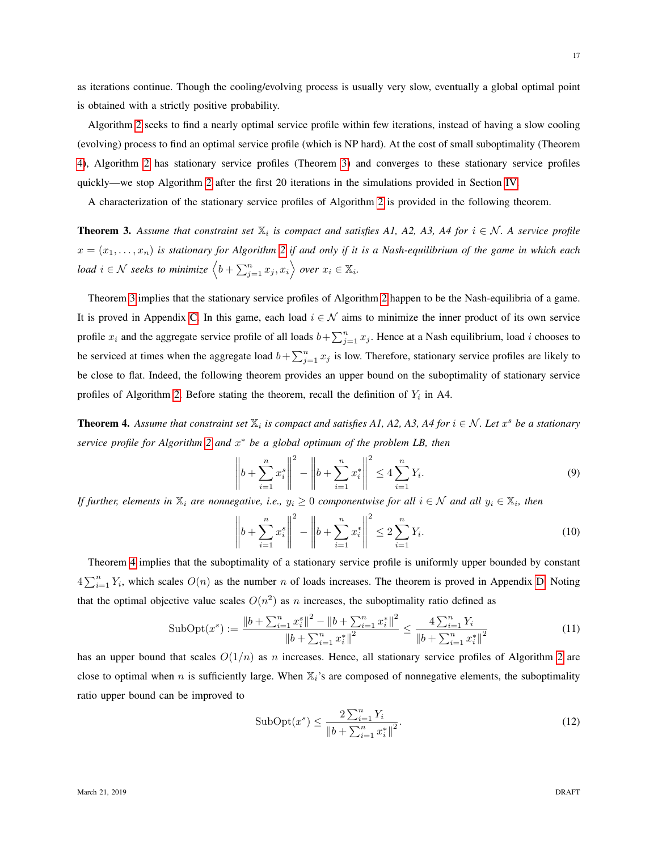as iterations continue. Though the cooling/evolving process is usually very slow, eventually a global optimal point is obtained with a strictly positive probability.

Algorithm [2](#page-14-0) seeks to find a nearly optimal service profile within few iterations, instead of having a slow cooling (evolving) process to find an optimal service profile (which is NP hard). At the cost of small suboptimality (Theorem [4\)](#page-16-0), Algorithm [2](#page-14-0) has stationary service profiles (Theorem [3\)](#page-16-1) and converges to these stationary service profiles quickly—we stop Algorithm [2](#page-14-0) after the first 20 iterations in the simulations provided in Section [IV.](#page-18-0)

A characterization of the stationary service profiles of Algorithm [2](#page-14-0) is provided in the following theorem.

<span id="page-16-1"></span>**Theorem 3.** Assume that constraint set  $\mathbb{X}_i$  is compact and satisfies A1, A2, A3, A4 for  $i \in \mathcal{N}$ . A service profile  $x = (x_1, \ldots, x_n)$  is stationary for Algorithm [2](#page-14-0) if and only if it is a Nash-equilibrium of the game in which each *load*  $i \in \mathcal{N}$  seeks to minimize  $\left\langle b + \sum_{j=1}^n x_j, x_i \right\rangle$  over  $x_i \in \mathbb{X}_i$ .

Theorem [3](#page-16-1) implies that the stationary service profiles of Algorithm [2](#page-14-0) happen to be the Nash-equilibria of a game. It is proved in Appendix [C.](#page-25-0) In this game, each load  $i \in \mathcal{N}$  aims to minimize the inner product of its own service profile  $x_i$  and the aggregate service profile of all loads  $b + \sum_{j=1}^n x_j$ . Hence at a Nash equilibrium, load *i* chooses to be serviced at times when the aggregate load  $b + \sum_{j=1}^{n} x_j$  is low. Therefore, stationary service profiles are likely to be close to flat. Indeed, the following theorem provides an upper bound on the suboptimality of stationary service profiles of Algorithm [2.](#page-14-0) Before stating the theorem, recall the definition of  $Y_i$  in A4.

<span id="page-16-0"></span>**Theorem 4.** Assume that constraint set  $\mathbb{X}_i$  is compact and satisfies A1, A2, A3, A4 for  $i \in \mathcal{N}$ . Let  $x^s$  be a stationary *service profile for Algorithm [2](#page-14-0) and* x <sup>∗</sup> *be a global optimum of the problem LB, then*

$$
\left\| b + \sum_{i=1}^{n} x_i^s \right\|^2 - \left\| b + \sum_{i=1}^{n} x_i^* \right\|^2 \le 4 \sum_{i=1}^{n} Y_i.
$$
\n(9)

If further, elements in  $\mathbb{X}_i$  are nonnegative, i.e.,  $y_i \geq 0$  componentwise for all  $i \in \mathcal{N}$  and all  $y_i \in \mathbb{X}_i$ , then

$$
\left\| b + \sum_{i=1}^{n} x_i^s \right\|^2 - \left\| b + \sum_{i=1}^{n} x_i^* \right\|^2 \le 2 \sum_{i=1}^{n} Y_i.
$$
 (10)

Theorem [4](#page-16-0) implies that the suboptimality of a stationary service profile is uniformly upper bounded by constant  $4\sum_{i=1}^{n} Y_i$ , which scales  $O(n)$  as the number n of loads increases. The theorem is proved in Appendix [D.](#page-27-0) Noting that the optimal objective value scales  $O(n^2)$  as n increases, the suboptimality ratio defined as

<span id="page-16-2"></span>
$$
\text{SubOpt}(x^s) := \frac{\left\| b + \sum_{i=1}^n x_i^s \right\|^2 - \left\| b + \sum_{i=1}^n x_i^* \right\|^2}{\left\| b + \sum_{i=1}^n x_i^* \right\|^2} \le \frac{4 \sum_{i=1}^n Y_i}{\left\| b + \sum_{i=1}^n x_i^* \right\|^2} \tag{11}
$$

has an upper bound that scales  $O(1/n)$  as n increases. Hence, all stationary service profiles of Algorithm [2](#page-14-0) are close to optimal when n is sufficiently large. When  $\mathbb{X}_i$ 's are composed of nonnegative elements, the suboptimality ratio upper bound can be improved to

<span id="page-16-3"></span>SubOpt
$$
(x^s)
$$
  $\leq \frac{2\sum_{i=1}^n Y_i}{\|b + \sum_{i=1}^n x_i^*\|^2}.$  (12)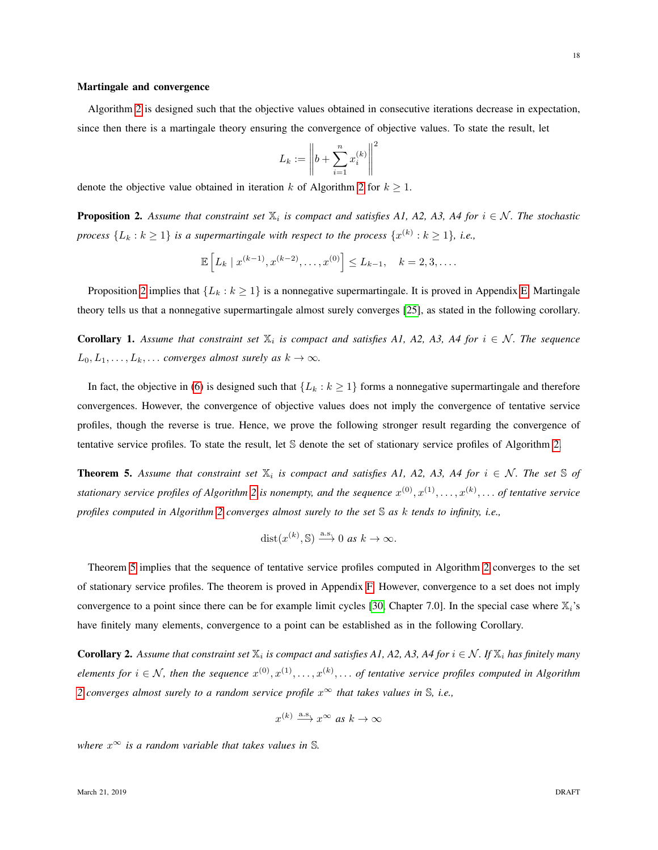# Martingale and convergence

Algorithm [2](#page-14-0) is designed such that the objective values obtained in consecutive iterations decrease in expectation, since then there is a martingale theory ensuring the convergence of objective values. To state the result, let

$$
L_k := \left\| b + \sum_{i=1}^n x_i^{(k)} \right\|^2
$$

denote the objective value obtained in iteration k of Algorithm [2](#page-14-0) for  $k \ge 1$ .

<span id="page-17-0"></span>**Proposition 2.** Assume that constraint set  $\mathbb{X}_i$  is compact and satisfies A1, A2, A3, A4 for  $i \in \mathcal{N}$ . The stochastic *process*  $\{L_k : k \geq 1\}$  *is a supermartingale with respect to the process*  $\{x^{(k)} : k \geq 1\}$ *, i.e.,* 

$$
\mathbb{E}\left[L_k \mid x^{(k-1)}, x^{(k-2)}, \dots, x^{(0)}\right] \le L_{k-1}, \quad k = 2, 3, \dots.
$$

Proposition [2](#page-17-0) implies that  $\{L_k : k \geq 1\}$  is a nonnegative supermartingale. It is proved in Appendix [E.](#page-27-1) Martingale theory tells us that a nonnegative supermartingale almost surely converges [\[25\]](#page-23-3), as stated in the following corollary.

**Corollary 1.** Assume that constraint set  $\mathbb{X}_i$  is compact and satisfies A1, A2, A3, A4 for  $i \in \mathcal{N}$ . The sequence  $L_0, L_1, \ldots, L_k, \ldots$  *converges almost surely as*  $k \to \infty$ *.* 

In fact, the objective in [\(6\)](#page-14-1) is designed such that  $\{L_k : k \geq 1\}$  forms a nonnegative supermartingale and therefore convergences. However, the convergence of objective values does not imply the convergence of tentative service profiles, though the reverse is true. Hence, we prove the following stronger result regarding the convergence of tentative service profiles. To state the result, let S denote the set of stationary service profiles of Algorithm [2.](#page-14-0)

<span id="page-17-1"></span>**Theorem 5.** Assume that constraint set  $\mathbb{X}_i$  is compact and satisfies A1, A2, A3, A4 for  $i \in \mathcal{N}$ . The set  $\mathbb{S}$  of stationary service profiles of Algorithm [2](#page-14-0) is nonempty, and the sequence  $x^{(0)}, x^{(1)}, \ldots, x^{(k)}, \ldots$  of tentative service *profiles computed in Algorithm [2](#page-14-0) converges almost surely to the set* S *as* k *tends to infinity, i.e.,*

$$
dist(x^{(k)}, \mathbb{S}) \xrightarrow{a.s} 0 \text{ as } k \to \infty.
$$

Theorem [5](#page-17-1) implies that the sequence of tentative service profiles computed in Algorithm [2](#page-14-0) converges to the set of stationary service profiles. The theorem is proved in Appendix [F.](#page-29-0) However, convergence to a set does not imply convergence to a point since there can be for example limit cycles [\[30,](#page-23-9) Chapter 7.0]. In the special case where  $\mathbb{X}_i$ 's have finitely many elements, convergence to a point can be established as in the following Corollary.

<span id="page-17-2"></span>**Corollary 2.** Assume that constraint set  $\mathbb{X}_i$  is compact and satisfies A1, A2, A3, A4 for  $i \in \mathcal{N}$ . If  $\mathbb{X}_i$  has finitely many  $elements for i \in \mathcal{N}$ , then the sequence  $x^{(0)}, x^{(1)}, \ldots, x^{(k)}, \ldots$  of tentative service profiles computed in Algorithm *[2](#page-14-0)* converges almost surely to a random service profile  $x^{\infty}$  that takes values in  $\mathbb{S}$ , i.e.,

$$
x^{(k)} \xrightarrow{\text{a.s.}} x^{\infty} \text{ as } k \to \infty
$$

*where*  $x^{\infty}$  *is a random variable that takes values in* S.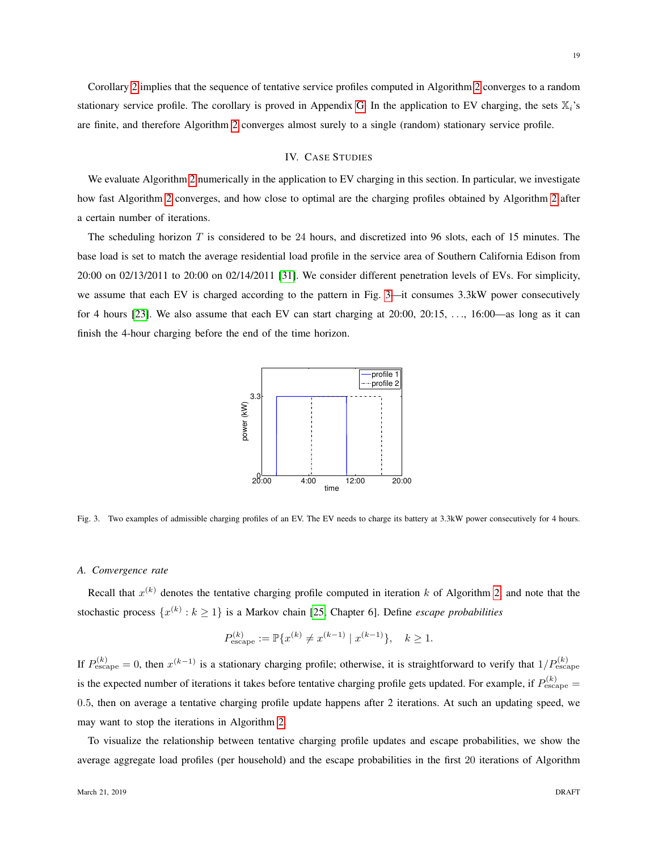19

Corollary [2](#page-17-2) implies that the sequence of tentative service profiles computed in Algorithm [2](#page-14-0) converges to a random stationary service profile. The corollary is proved in Appendix [G.](#page-31-0) In the application to EV charging, the sets  $\mathbb{X}_i$ 's are finite, and therefore Algorithm [2](#page-14-0) converges almost surely to a single (random) stationary service profile.

# IV. CASE STUDIES

<span id="page-18-0"></span>We evaluate Algorithm [2](#page-14-0) numerically in the application to EV charging in this section. In particular, we investigate how fast Algorithm [2](#page-14-0) converges, and how close to optimal are the charging profiles obtained by Algorithm [2](#page-14-0) after a certain number of iterations.

The scheduling horizon  $T$  is considered to be 24 hours, and discretized into 96 slots, each of 15 minutes. The base load is set to match the average residential load profile in the service area of Southern California Edison from 20:00 on 02/13/2011 to 20:00 on 02/14/2011 [\[31\]](#page-23-10). We consider different penetration levels of EVs. For simplicity, we assume that each EV is charged according to the pattern in Fig. [3—](#page-18-1)it consumes 3.3kW power consecutively for 4 hours [\[23\]](#page-23-1). We also assume that each EV can start charging at 20:00, 20:15, . . ., 16:00—as long as it can finish the 4-hour charging before the end of the time horizon.



<span id="page-18-1"></span>Fig. 3. Two examples of admissible charging profiles of an EV. The EV needs to charge its battery at 3.3kW power consecutively for 4 hours.

## *A. Convergence rate*

Recall that  $x^{(k)}$  denotes the tentative charging profile computed in iteration k of Algorithm [2,](#page-14-0) and note that the stochastic process  $\{x^{(k)}: k \ge 1\}$  is a Markov chain [\[25,](#page-23-3) Chapter 6]. Define *escape probabilities* 

$$
P_{\text{escape}}^{(k)} := \mathbb{P}\{x^{(k)} \neq x^{(k-1)} \mid x^{(k-1)}\}, \quad k \ge 1.
$$

If  $P_{\text{escape}}^{(k)} = 0$ , then  $x^{(k-1)}$  is a stationary charging profile; otherwise, it is straightforward to verify that  $1/P_{\text{escape}}^{(k)}$ is the expected number of iterations it takes before tentative charging profile gets updated. For example, if  $P_{\text{escape}}^{(k)} =$ 0.5, then on average a tentative charging profile update happens after 2 iterations. At such an updating speed, we may want to stop the iterations in Algorithm [2.](#page-14-0)

To visualize the relationship between tentative charging profile updates and escape probabilities, we show the average aggregate load profiles (per household) and the escape probabilities in the first 20 iterations of Algorithm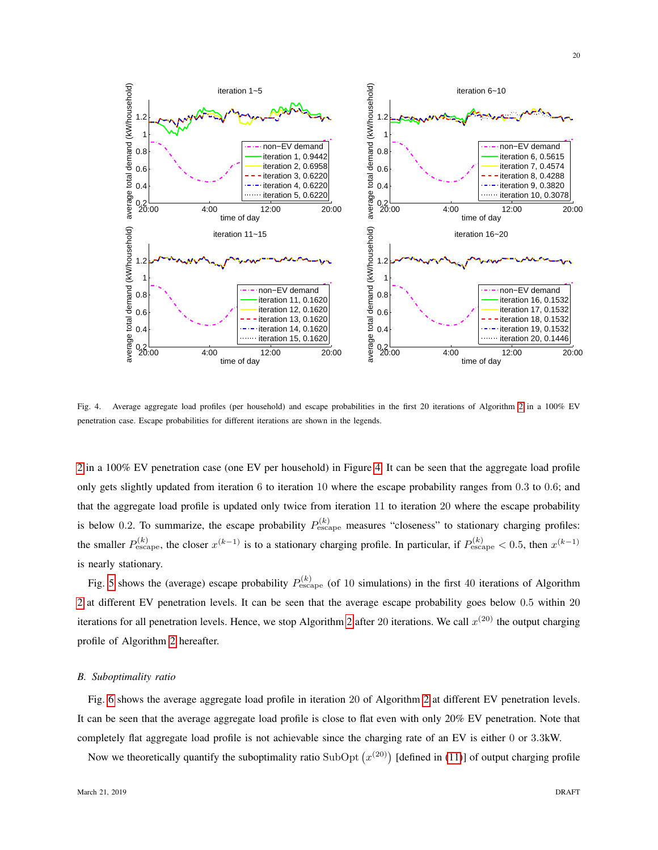

<span id="page-19-0"></span>Fig. 4. Average aggregate load profiles (per household) and escape probabilities in the first 20 iterations of Algorithm [2](#page-14-0) in a 100% EV penetration case. Escape probabilities for different iterations are shown in the legends.

[2](#page-14-0) in a 100% EV penetration case (one EV per household) in Figure [4.](#page-19-0) It can be seen that the aggregate load profile only gets slightly updated from iteration 6 to iteration 10 where the escape probability ranges from 0.3 to 0.6; and that the aggregate load profile is updated only twice from iteration 11 to iteration 20 where the escape probability is below 0.2. To summarize, the escape probability  $P_{\text{escape}}^{(k)}$  measures "closeness" to stationary charging profiles: the smaller  $P_{\text{escape}}^{(k)}$ , the closer  $x^{(k-1)}$  is to a stationary charging profile. In particular, if  $P_{\text{escape}}^{(k)} < 0.5$ , then  $x^{(k-1)}$ is nearly stationary.

Fig. [5](#page-20-0) shows the (average) escape probability  $P_{\text{escape}}^{(k)}$  (of 10 simulations) in the first 40 iterations of Algorithm [2](#page-14-0) at different EV penetration levels. It can be seen that the average escape probability goes below 0.5 within 20 iterations for all penetration levels. Hence, we stop Algorithm [2](#page-14-0) after 20 iterations. We call  $x^{(20)}$  the output charging profile of Algorithm [2](#page-14-0) hereafter.

#### *B. Suboptimality ratio*

Fig. [6](#page-20-1) shows the average aggregate load profile in iteration 20 of Algorithm [2](#page-14-0) at different EV penetration levels. It can be seen that the average aggregate load profile is close to flat even with only 20% EV penetration. Note that completely flat aggregate load profile is not achievable since the charging rate of an EV is either 0 or 3.3kW.

Now we theoretically quantify the suboptimality ratio SubOpt  $(x^{(20)})$  [defined in [\(11\)](#page-16-2)] of output charging profile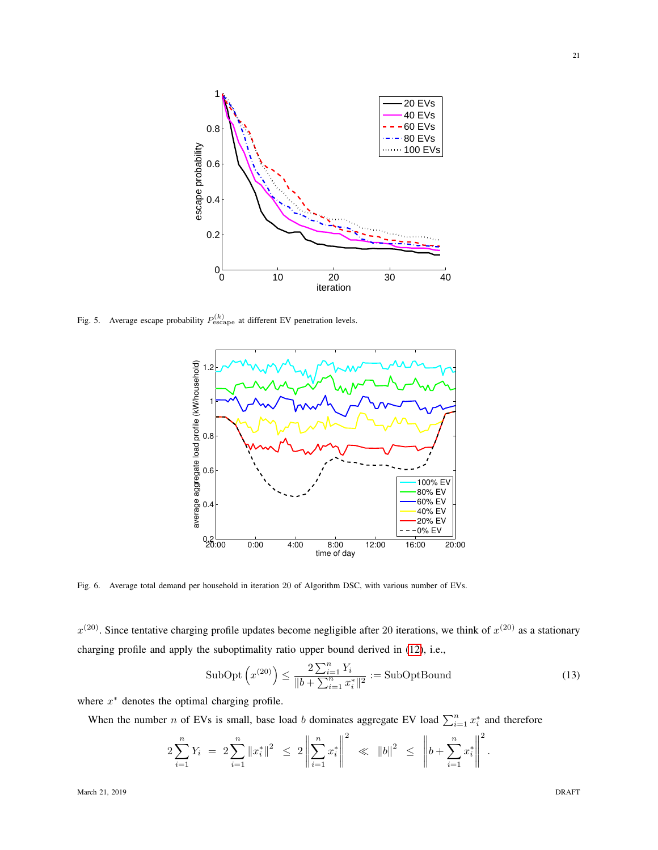

<span id="page-20-0"></span>Fig. 5. Average escape probability  $P_{\text{escape}}^{(k)}$  at different EV penetration levels.



<span id="page-20-1"></span>Fig. 6. Average total demand per household in iteration 20 of Algorithm DSC, with various number of EVs.

 $x^{(20)}$ . Since tentative charging profile updates become negligible after 20 iterations, we think of  $x^{(20)}$  as a stationary charging profile and apply the suboptimality ratio upper bound derived in [\(12\)](#page-16-3), i.e.,

SubOpt 
$$
\left(x^{(20)}\right) \le \frac{2\sum_{i=1}^{n} Y_i}{\|b + \sum_{i=1}^{n} x_i^*\|^2} := \text{SubOptBound}
$$
 (13)

where  $x^*$  denotes the optimal charging profile.

When the number *n* of EVs is small, base load *b* dominates aggregate EV load  $\sum_{i=1}^{n} x_i^*$  and therefore

$$
2\sum_{i=1}^n Y_i = 2\sum_{i=1}^n \|x_i^*\|^2 \le 2\left\|\sum_{i=1}^n x_i^*\right\|^2 \ll \|b\|^2 \le \left\|b + \sum_{i=1}^n x_i^*\right\|^2.
$$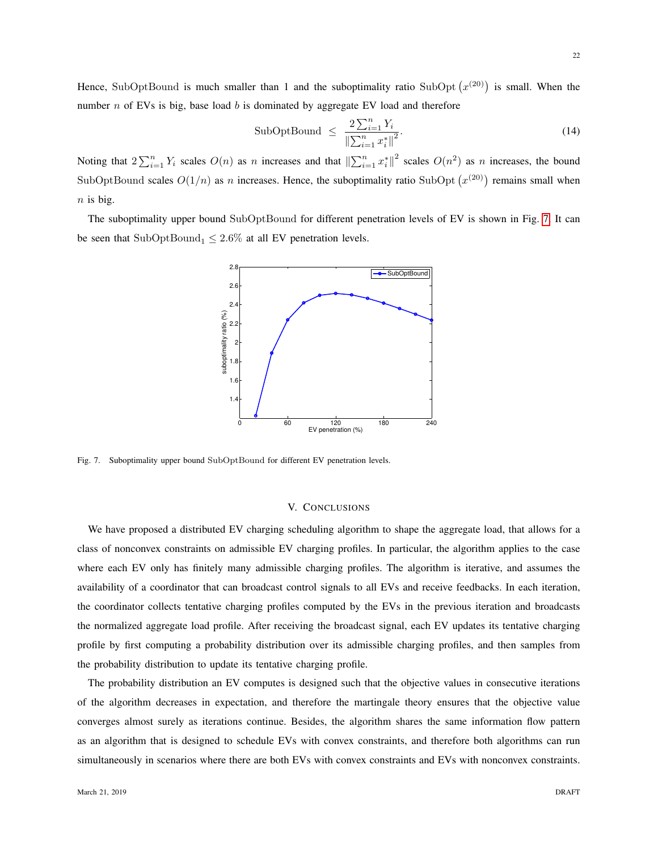Hence, SubOptBound is much smaller than 1 and the suboptimality ratio SubOpt  $(x^{(20)})$  is small. When the number  $n$  of EVs is big, base load  $b$  is dominated by aggregate EV load and therefore

$$
\text{SubOptBound} \le \frac{2\sum_{i=1}^{n} Y_i}{\left\|\sum_{i=1}^{n} x_i^*\right\|^2}.\tag{14}
$$

Noting that  $2\sum_{i=1}^n Y_i$  scales  $O(n)$  as n increases and that  $\left\| \sum_{i=1}^n x_i^* \right\|^2$  scales  $O(n^2)$  as n increases, the bound SubOptBound scales  $O(1/n)$  as n increases. Hence, the suboptimality ratio SubOpt  $(x^{(20)})$  remains small when  $n$  is big.

The suboptimality upper bound SubOptBound for different penetration levels of EV is shown in Fig. [7.](#page-21-0) It can be seen that SubOptBound<sub>1</sub>  $\leq$  2.6% at all EV penetration levels.



<span id="page-21-0"></span>Fig. 7. Suboptimality upper bound SubOptBound for different EV penetration levels.

## V. CONCLUSIONS

We have proposed a distributed EV charging scheduling algorithm to shape the aggregate load, that allows for a class of nonconvex constraints on admissible EV charging profiles. In particular, the algorithm applies to the case where each EV only has finitely many admissible charging profiles. The algorithm is iterative, and assumes the availability of a coordinator that can broadcast control signals to all EVs and receive feedbacks. In each iteration, the coordinator collects tentative charging profiles computed by the EVs in the previous iteration and broadcasts the normalized aggregate load profile. After receiving the broadcast signal, each EV updates its tentative charging profile by first computing a probability distribution over its admissible charging profiles, and then samples from the probability distribution to update its tentative charging profile.

The probability distribution an EV computes is designed such that the objective values in consecutive iterations of the algorithm decreases in expectation, and therefore the martingale theory ensures that the objective value converges almost surely as iterations continue. Besides, the algorithm shares the same information flow pattern as an algorithm that is designed to schedule EVs with convex constraints, and therefore both algorithms can run simultaneously in scenarios where there are both EVs with convex constraints and EVs with nonconvex constraints.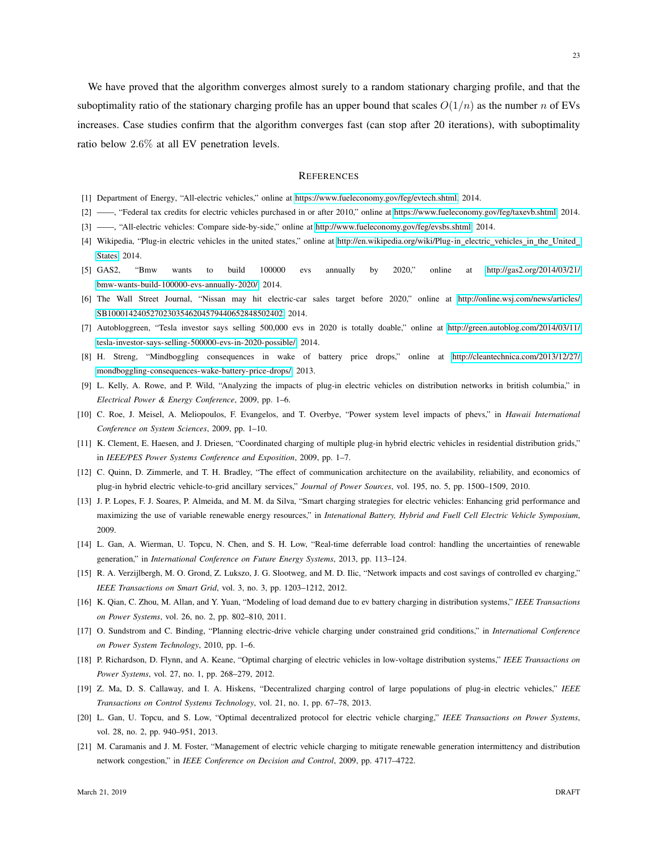We have proved that the algorithm converges almost surely to a random stationary charging profile, and that the suboptimality ratio of the stationary charging profile has an upper bound that scales  $O(1/n)$  as the number n of EVs increases. Case studies confirm that the algorithm converges fast (can stop after 20 iterations), with suboptimality ratio below 2.6% at all EV penetration levels.

# **REFERENCES**

- <span id="page-22-0"></span>[1] Department of Energy, "All-electric vehicles," online at [https://www.fueleconomy.gov/feg/evtech.shtml,](https://www.fueleconomy.gov/feg/evtech.shtml) 2014.
- <span id="page-22-1"></span>[2] ——, "Federal tax credits for electric vehicles purchased in or after 2010," online at [https://www.fueleconomy.gov/feg/taxevb.shtml,](https://www.fueleconomy.gov/feg/taxevb.shtml) 2014.
- <span id="page-22-2"></span>[3] ——, "All-electric vehicles: Compare side-by-side," online at [http://www.fueleconomy.gov/feg/evsbs.shtml,](http://www.fueleconomy.gov/feg/evsbs.shtml) 2014.
- <span id="page-22-3"></span>[4] Wikipedia, "Plug-in electric vehicles in the united states," online at [http://en.wikipedia.org/wiki/Plug-in](http://en.wikipedia.org/wiki/Plug-in_electric_vehicles_in_the_United_States)\_electric\_vehicles\_in\_the\_United\_ [States,](http://en.wikipedia.org/wiki/Plug-in_electric_vehicles_in_the_United_States) 2014.
- <span id="page-22-4"></span>[5] GAS2, "Bmw wants to build 100000 evs annually by 2020," online at [http://gas2.org/2014/03/21/](http://gas2.org/2014/03/21/bmw-wants-build-100000-evs-annually-2020/) [bmw-wants-build-100000-evs-annually-2020/,](http://gas2.org/2014/03/21/bmw-wants-build-100000-evs-annually-2020/) 2014.
- [6] The Wall Street Journal, "Nissan may hit electric-car sales target before 2020," online at [http://online.wsj.com/news/articles/](http://online.wsj.com/news/articles/SB10001424052702303546204579440652848502402) [SB10001424052702303546204579440652848502402,](http://online.wsj.com/news/articles/SB10001424052702303546204579440652848502402) 2014.
- <span id="page-22-5"></span>[7] Autobloggreen, "Tesla investor says selling 500,000 evs in 2020 is totally doable," online at [http://green.autoblog.com/2014/03/11/](http://green.autoblog.com/2014/03/11/tesla-investor-says-selling-500000-evs-in-2020-possible/) [tesla-investor-says-selling-500000-evs-in-2020-possible/,](http://green.autoblog.com/2014/03/11/tesla-investor-says-selling-500000-evs-in-2020-possible/) 2014.
- <span id="page-22-6"></span>[8] H. Streng, "Mindboggling consequences in wake of battery price drops," online at [http://cleantechnica.com/2013/12/27/](http://cleantechnica.com/2013/12/27/mondboggling-consequences-wake-battery-price-drops/) [mondboggling-consequences-wake-battery-price-drops/,](http://cleantechnica.com/2013/12/27/mondboggling-consequences-wake-battery-price-drops/) 2013.
- <span id="page-22-7"></span>[9] L. Kelly, A. Rowe, and P. Wild, "Analyzing the impacts of plug-in electric vehicles on distribution networks in british columbia," in *Electrical Power & Energy Conference*, 2009, pp. 1–6.
- <span id="page-22-8"></span>[10] C. Roe, J. Meisel, A. Meliopoulos, F. Evangelos, and T. Overbye, "Power system level impacts of phevs," in *Hawaii International Conference on System Sciences*, 2009, pp. 1–10.
- <span id="page-22-9"></span>[11] K. Clement, E. Haesen, and J. Driesen, "Coordinated charging of multiple plug-in hybrid electric vehicles in residential distribution grids," in *IEEE/PES Power Systems Conference and Exposition*, 2009, pp. 1–7.
- <span id="page-22-10"></span>[12] C. Quinn, D. Zimmerle, and T. H. Bradley, "The effect of communication architecture on the availability, reliability, and economics of plug-in hybrid electric vehicle-to-grid ancillary services," *Journal of Power Sources*, vol. 195, no. 5, pp. 1500–1509, 2010.
- [13] J. P. Lopes, F. J. Soares, P. Almeida, and M. M. da Silva, "Smart charging strategies for electric vehicles: Enhancing grid performance and maximizing the use of variable renewable energy resources," in *Intenational Battery, Hybrid and Fuell Cell Electric Vehicle Symposium*, 2009.
- <span id="page-22-11"></span>[14] L. Gan, A. Wierman, U. Topcu, N. Chen, and S. H. Low, "Real-time deferrable load control: handling the uncertainties of renewable generation," in *International Conference on Future Energy Systems*, 2013, pp. 113–124.
- <span id="page-22-12"></span>[15] R. A. Verzijlbergh, M. O. Grond, Z. Lukszo, J. G. Slootweg, and M. D. Ilic, "Network impacts and cost savings of controlled ev charging," *IEEE Transactions on Smart Grid*, vol. 3, no. 3, pp. 1203–1212, 2012.
- <span id="page-22-15"></span>[16] K. Qian, C. Zhou, M. Allan, and Y. Yuan, "Modeling of load demand due to ev battery charging in distribution systems," *IEEE Transactions on Power Systems*, vol. 26, no. 2, pp. 802–810, 2011.
- <span id="page-22-16"></span>[17] O. Sundstrom and C. Binding, "Planning electric-drive vehicle charging under constrained grid conditions," in *International Conference on Power System Technology*, 2010, pp. 1–6.
- <span id="page-22-13"></span>[18] P. Richardson, D. Flynn, and A. Keane, "Optimal charging of electric vehicles in low-voltage distribution systems," *IEEE Transactions on Power Systems*, vol. 27, no. 1, pp. 268–279, 2012.
- <span id="page-22-14"></span>[19] Z. Ma, D. S. Callaway, and I. A. Hiskens, "Decentralized charging control of large populations of plug-in electric vehicles," *IEEE Transactions on Control Systems Technology*, vol. 21, no. 1, pp. 67–78, 2013.
- <span id="page-22-17"></span>[20] L. Gan, U. Topcu, and S. Low, "Optimal decentralized protocol for electric vehicle charging," *IEEE Transactions on Power Systems*, vol. 28, no. 2, pp. 940–951, 2013.
- <span id="page-22-18"></span>[21] M. Caramanis and J. M. Foster, "Management of electric vehicle charging to mitigate renewable generation intermittency and distribution network congestion," in *IEEE Conference on Decision and Control*, 2009, pp. 4717–4722.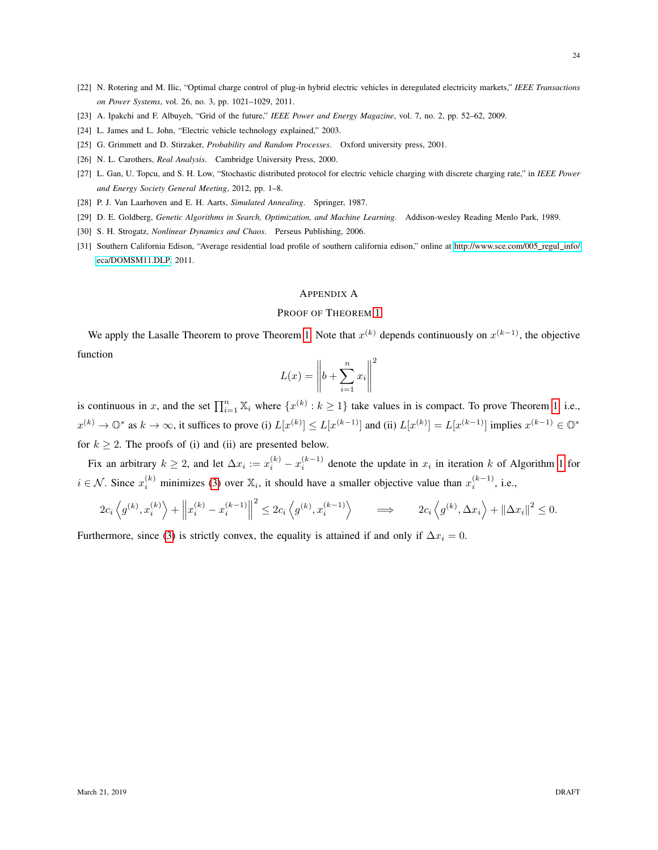- <span id="page-23-0"></span>[22] N. Rotering and M. Ilic, "Optimal charge control of plug-in hybrid electric vehicles in deregulated electricity markets," *IEEE Transactions on Power Systems*, vol. 26, no. 3, pp. 1021–1029, 2011.
- <span id="page-23-1"></span>[23] A. Ipakchi and F. Albuyeh, "Grid of the future," *IEEE Power and Energy Magazine*, vol. 7, no. 2, pp. 52–62, 2009.
- <span id="page-23-2"></span>[24] L. James and L. John, "Electric vehicle technology explained," 2003.
- <span id="page-23-3"></span>[25] G. Grimmett and D. Stirzaker, *Probability and Random Processes*. Oxford university press, 2001.
- <span id="page-23-4"></span>[26] N. L. Carothers, *Real Analysis*. Cambridge University Press, 2000.
- <span id="page-23-6"></span>[27] L. Gan, U. Topcu, and S. H. Low, "Stochastic distributed protocol for electric vehicle charging with discrete charging rate," in *IEEE Power and Energy Society General Meeting*, 2012, pp. 1–8.
- <span id="page-23-7"></span>[28] P. J. Van Laarhoven and E. H. Aarts, *Simulated Annealing*. Springer, 1987.
- <span id="page-23-8"></span>[29] D. E. Goldberg, *Genetic Algorithms in Search, Optimization, and Machine Learning*. Addison-wesley Reading Menlo Park, 1989.
- <span id="page-23-9"></span>[30] S. H. Strogatz, *Nonlinear Dynamics and Chaos*. Perseus Publishing, 2006.
- <span id="page-23-10"></span>[31] Southern California Edison, "Average residential load profile of southern california edison," online at [http://www.sce.com/005](http://www.sce.com/005_regul_info/eca/DOMSM11.DLP) regul info/ [eca/DOMSM11.DLP,](http://www.sce.com/005_regul_info/eca/DOMSM11.DLP) 2011.

# <span id="page-23-5"></span>APPENDIX A

# PROOF OF THEOREM [1](#page-10-0)

We apply the Lasalle Theorem to prove Theorem [1.](#page-10-0) Note that  $x^{(k)}$  depends continuously on  $x^{(k-1)}$ , the objective function

$$
L(x) = \left\| b + \sum_{i=1}^{n} x_i \right\|^2
$$

is continuous in x, and the set  $\prod_{i=1}^{n} X_i$  where  $\{x^{(k)}: k \geq 1\}$  take values in is compact. To prove Theorem [1,](#page-10-0) i.e.,  $x^{(k)} \to \mathbb{O}^*$  as  $k \to \infty$ , it suffices to prove (i)  $L[x^{(k)}] \le L[x^{(k-1)}]$  and (ii)  $L[x^{(k)}] = L[x^{(k-1)}]$  implies  $x^{(k-1)} \in \mathbb{O}^*$ for  $k \geq 2$ . The proofs of (i) and (ii) are presented below.

Fix an arbitrary  $k \ge 2$ , and let  $\Delta x_i := x_i^{(k)} - x_i^{(k-1)}$  denote the update in  $x_i$  in iteration k of Algorithm [1](#page-9-0) for  $i \in \mathcal{N}$ . Since  $x_i^{(k)}$  minimizes [\(3\)](#page-9-1) over  $\mathbb{X}_i$ , it should have a smaller objective value than  $x_i^{(k-1)}$ , i.e.,

$$
2c_i \left\langle g^{(k)}, x_i^{(k)} \right\rangle + \left\| x_i^{(k)} - x_i^{(k-1)} \right\|^2 \leq 2c_i \left\langle g^{(k)}, x_i^{(k-1)} \right\rangle \qquad \Longrightarrow \qquad 2c_i \left\langle g^{(k)}, \Delta x_i \right\rangle + \left\| \Delta x_i \right\|^2 \leq 0.
$$

Furthermore, since [\(3\)](#page-9-1) is strictly convex, the equality is attained if and only if  $\Delta x_i = 0$ .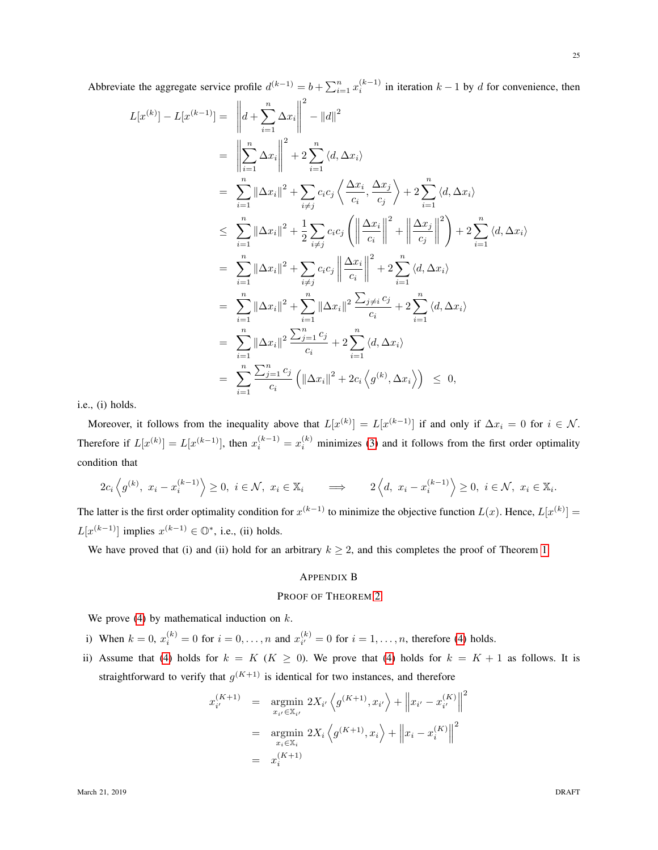Abbreviate the aggregate service profile  $d^{(k-1)} = b + \sum_{i=1}^{n} x_i^{(k-1)}$  in iteration  $k-1$  by d for convenience, then

$$
L[x^{(k)}] - L[x^{(k-1)}] = \left\| d + \sum_{i=1}^{n} \Delta x_{i} \right\|^{2} - ||d||^{2}
$$
  
\n
$$
= \left\| \sum_{i=1}^{n} \Delta x_{i} \right\|^{2} + 2 \sum_{i=1}^{n} \langle d, \Delta x_{i} \rangle
$$
  
\n
$$
= \sum_{i=1}^{n} ||\Delta x_{i}||^{2} + \sum_{i \neq j} c_{i} c_{j} \left\langle \frac{\Delta x_{i}}{c_{i}}, \frac{\Delta x_{j}}{c_{j}} \right\rangle + 2 \sum_{i=1}^{n} \langle d, \Delta x_{i} \rangle
$$
  
\n
$$
\leq \sum_{i=1}^{n} ||\Delta x_{i}||^{2} + \frac{1}{2} \sum_{i \neq j} c_{i} c_{j} \left( \left\| \frac{\Delta x_{i}}{c_{i}} \right\|^{2} + \left\| \frac{\Delta x_{j}}{c_{j}} \right\|^{2} \right) + 2 \sum_{i=1}^{n} \langle d, \Delta x_{i} \rangle
$$
  
\n
$$
= \sum_{i=1}^{n} ||\Delta x_{i}||^{2} + \sum_{i \neq j} c_{i} c_{j} \left\| \frac{\Delta x_{i}}{c_{i}} \right\|^{2} + 2 \sum_{i=1}^{n} \langle d, \Delta x_{i} \rangle
$$
  
\n
$$
= \sum_{i=1}^{n} ||\Delta x_{i}||^{2} + \sum_{i=1}^{n} ||\Delta x_{i}||^{2} \frac{\sum_{j \neq i} c_{j}}{c_{i}} + 2 \sum_{i=1}^{n} \langle d, \Delta x_{i} \rangle
$$
  
\n
$$
= \sum_{i=1}^{n} ||\Delta x_{i}||^{2} \frac{\sum_{j=1}^{n} c_{j}}{c_{i}} + 2 \sum_{i=1}^{n} \langle d, \Delta x_{i} \rangle
$$
  
\n
$$
= \sum_{i=1}^{n} ||\Delta x_{i}||^{2} \frac{\sum_{j=1}^{n} c_{j}}{c_{i}} \left( ||\Delta x_{i}||^{2} + 2c_{i} \langle g^{(k)}, \Delta x_{i} \rangle \right) \leq 0,
$$

i.e., (i) holds.

Moreover, it follows from the inequality above that  $L[x^{(k)}] = L[x^{(k-1)}]$  if and only if  $\Delta x_i = 0$  for  $i \in \mathcal{N}$ . Therefore if  $L[x^{(k)}] = L[x^{(k-1)}]$ , then  $x_i^{(k-1)} = x_i^{(k)}$  minimizes [\(3\)](#page-9-1) and it follows from the first order optimality condition that

$$
2c_i\left\langle g^{(k)}, x_i - x_i^{(k-1)} \right\rangle \ge 0, \ i \in \mathcal{N}, \ x_i \in \mathbb{X}_i \qquad \Longrightarrow \qquad 2\left\langle d, x_i - x_i^{(k-1)} \right\rangle \ge 0, \ i \in \mathcal{N}, \ x_i \in \mathbb{X}_i.
$$

The latter is the first order optimality condition for  $x^{(k-1)}$  to minimize the objective function  $L(x)$ . Hence,  $L[x^{(k)}] =$  $L[x^{(k-1)}]$  implies  $x^{(k-1)} \in \mathbb{O}^*$ , i.e., (ii) holds.

We have proved that (i) and (ii) hold for an arbitrary  $k \ge 2$ , and this completes the proof of Theorem [1.](#page-10-0)

## <span id="page-24-0"></span>APPENDIX B

# PROOF OF THEOREM [2](#page-11-0)

We prove  $(4)$  by mathematical induction on  $k$ .

i) When  $k = 0$ ,  $x_i^{(k)} = 0$  for  $i = 0, ..., n$  and  $x_{i'}^{(k)}$  $i^{(k)}_{i'} = 0$  for  $i = 1, \ldots, n$ , therefore [\(4\)](#page-11-2) holds.

ii) Assume that [\(4\)](#page-11-2) holds for  $k = K$  ( $K \ge 0$ ). We prove that (4) holds for  $k = K + 1$  as follows. It is straightforward to verify that  $g^{(K+1)}$  is identical for two instances, and therefore

$$
x_{i'}^{(K+1)} = \underset{x_{i'} \in \mathbb{X}_{i'}}{\text{argmin}} 2X_{i'} \left\langle g^{(K+1)}, x_{i'} \right\rangle + \left\| x_{i'} - x_{i'}^{(K)} \right\|^2
$$
  

$$
= \underset{x_i \in \mathbb{X}_i}{\text{argmin}} 2X_i \left\langle g^{(K+1)}, x_i \right\rangle + \left\| x_i - x_i^{(K)} \right\|^2
$$
  

$$
= x_i^{(K+1)}
$$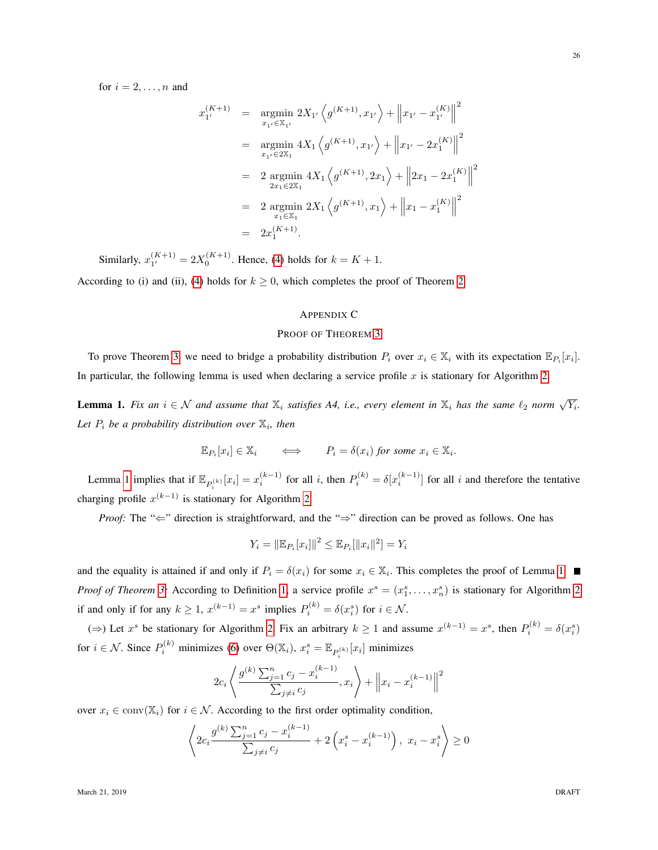for  $i = 2, \ldots, n$  and

$$
x_{1'}^{(K+1)} = \underset{x_{1'} \in \mathbb{X}_{1'}}{\text{argmin}} 2X_{1'} \left\langle g^{(K+1)}, x_{1'} \right\rangle + \left\| x_{1'} - x_{1'}^{(K)} \right\|^2
$$
  
\n
$$
= \underset{x_{1'} \in 2\mathbb{X}_{1}}{\text{argmin}} 4X_1 \left\langle g^{(K+1)}, x_{1'} \right\rangle + \left\| x_{1'} - 2x_1^{(K)} \right\|^2
$$
  
\n
$$
= 2 \underset{x_{1} \in 2\mathbb{X}_{1}}{\text{argmin}} 4X_1 \left\langle g^{(K+1)}, 2x_1 \right\rangle + \left\| 2x_1 - 2x_1^{(K)} \right\|^2
$$
  
\n
$$
= 2 \underset{x_{1} \in \mathbb{X}_{1}}{\text{argmin}} 2X_1 \left\langle g^{(K+1)}, x_1 \right\rangle + \left\| x_1 - x_1^{(K)} \right\|^2
$$
  
\n
$$
= 2x_1^{(K+1)}.
$$

Similarly,  $x_1^{(K+1)}$  $1^{(K+1)}_{1'} = 2X_0^{(K+1)}$ . Hence, [\(4\)](#page-11-2) holds for  $k = K + 1$ .

According to (i) and (ii), [\(4\)](#page-11-2) holds for  $k \ge 0$ , which completes the proof of Theorem [2.](#page-11-0)

# <span id="page-25-0"></span>APPENDIX C

## PROOF OF THEOREM [3](#page-16-1)

To prove Theorem [3,](#page-16-1) we need to bridge a probability distribution  $P_i$  over  $x_i \in \mathbb{X}_i$  with its expectation  $\mathbb{E}_{P_i}[x_i]$ . In particular, the following lemma is used when declaring a service profile  $x$  is stationary for Algorithm [2.](#page-14-0)

<span id="page-25-1"></span>**Lemma 1.** Fix an  $i \in \mathcal{N}$  and assume that  $\mathbb{X}_i$  satisfies A4, i.e., every element in  $\mathbb{X}_i$  has the same  $\ell_2$  norm  $\sqrt{Y_i}$ . Let  $P_i$  be a probability distribution over  $\mathbb{X}_i$ , then

$$
\mathbb{E}_{P_i}[x_i] \in \mathbb{X}_i \qquad \Longleftrightarrow \qquad P_i = \delta(x_i) \text{ for some } x_i \in \mathbb{X}_i.
$$

Lemma [1](#page-25-1) implies that if  $\mathbb{E}_{P_i^{(k)}}[x_i] = x_i^{(k-1)}$  for all i, then  $P_i^{(k)} = \delta[x_i^{(k-1)}]$  for all i and therefore the tentative charging profile  $x^{(k-1)}$  is stationary for Algorithm [2.](#page-14-0)

*Proof:* The "∈" direction is straightforward, and the "⇒" direction can be proved as follows. One has

$$
Y_i = ||\mathbb{E}_{P_i}[x_i]||^2 \le \mathbb{E}_{P_i}[||x_i||^2] = Y_i
$$

and the equality is attained if and only if  $P_i = \delta(x_i)$  for some  $x_i \in \mathbb{X}_i$ . This completes the proof of Lemma [1.](#page-25-1) *Proof of Theorem [3:](#page-16-1)* According to Definition [1,](#page-15-2) a service profile  $x^s = (x_1^s, \ldots, x_n^s)$  is stationary for Algorithm [2](#page-14-0) if and only if for any  $k \ge 1$ ,  $x^{(k-1)} = x^s$  implies  $P_i^{(k)} = \delta(x_i^s)$  for  $i \in \mathcal{N}$ .

(⇒) Let  $x^s$  be stationary for Algorithm [2.](#page-14-0) Fix an arbitrary  $k \ge 1$  and assume  $x^{(k-1)} = x^s$ , then  $P_i^{(k)} = \delta(x_i^s)$ for  $i \in \mathcal{N}$ . Since  $P_i^{(k)}$  minimizes [\(6\)](#page-14-1) over  $\Theta(\mathbb{X}_i)$ ,  $x_i^s = \mathbb{E}_{P_i^{(k)}}[x_i]$  minimizes

$$
2c_i \left\langle \frac{g^{(k)} \sum_{j=1}^n c_j - x_i^{(k-1)}}{\sum_{j \neq i} c_j}, x_i \right\rangle + \left\| x_i - x_i^{(k-1)} \right\|^2
$$

over  $x_i \in \text{conv}(\mathbb{X}_i)$  for  $i \in \mathcal{N}$ . According to the first order optimality condition,

$$
\left\langle 2c_i \frac{g^{(k)}\sum_{j=1}^n c_j - x_i^{(k-1)}}{\sum_{j \neq i} c_j} + 2\left(x_i^s - x_i^{(k-1)}\right), \ x_i - x_i^s \right\rangle \ge 0
$$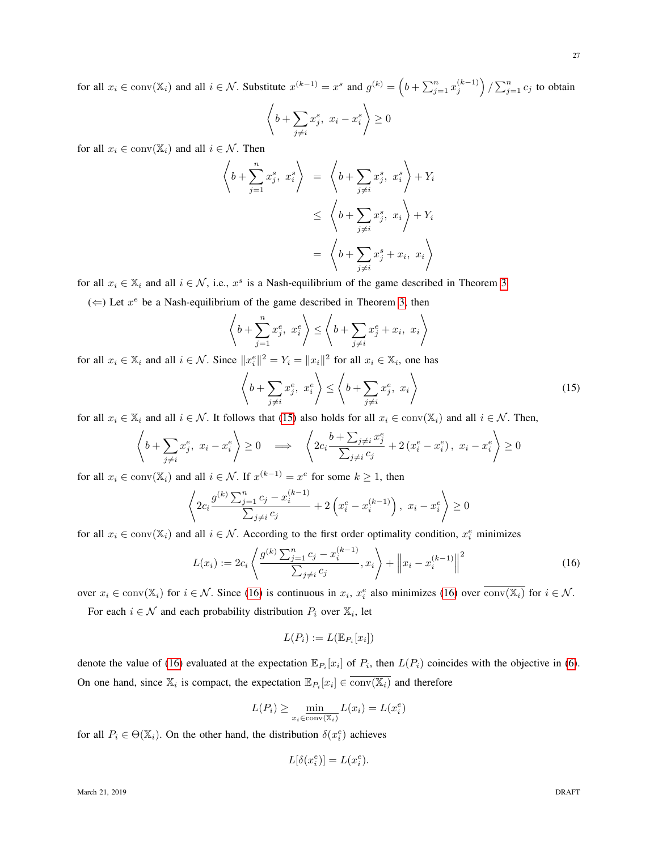for all  $x_i \in \text{conv}(\mathbb{X}_i)$  and all  $i \in \mathcal{N}$ . Substitute  $x^{(k-1)} = x^s$  and  $g^{(k)} = \left(b + \sum_{j=1}^n x_j^{(k-1)}\right) / \sum_{j=1}^n c_j$  to obtain \*  $\setminus$ 

$$
\left\langle b + \sum_{j \neq i} x_j^s, \ x_i - x_i^s \right\rangle \ge 0
$$

for all  $x_i \in \text{conv}(\mathbb{X}_i)$  and all  $i \in \mathcal{N}$ . Then

$$
\left\langle b + \sum_{j=1}^{n} x_j^s, x_i^s \right\rangle = \left\langle b + \sum_{j \neq i} x_j^s, x_i^s \right\rangle + Y_i
$$
  

$$
\leq \left\langle b + \sum_{j \neq i} x_j^s, x_i \right\rangle + Y_i
$$
  

$$
= \left\langle b + \sum_{j \neq i} x_j^s + x_i, x_i \right\rangle
$$

for all  $x_i \in \mathbb{X}_i$  and all  $i \in \mathcal{N}$ , i.e.,  $x^s$  is a Nash-equilibrium of the game described in Theorem [3.](#page-16-1)

 $(\Leftarrow)$  Let  $x^e$  be a Nash-equilibrium of the game described in Theorem [3,](#page-16-1) then

$$
\left\langle b + \sum_{j=1}^{n} x_j^e, x_i^e \right\rangle \le \left\langle b + \sum_{j \neq i} x_j^e + x_i, x_i \right\rangle
$$

for all  $x_i \in \mathbb{X}_i$  and all  $i \in \mathcal{N}$ . Since  $||x_i^e||^2 = Y_i = ||x_i||^2$  for all  $x_i \in \mathbb{X}_i$ , one has

<span id="page-26-0"></span>
$$
\left\langle b + \sum_{j \neq i} x_j^e, x_i^e \right\rangle \le \left\langle b + \sum_{j \neq i} x_j^e, x_i \right\rangle \tag{15}
$$

for all  $x_i \in \mathbb{X}_i$  and all  $i \in \mathcal{N}$ . It follows that [\(15\)](#page-26-0) also holds for all  $x_i \in \text{conv}(\mathbb{X}_i)$  and all  $i \in \mathcal{N}$ . Then,

$$
\left\langle b + \sum_{j \neq i} x_j^e, x_i - x_i^e \right\rangle \ge 0 \implies \left\langle 2c_i \frac{b + \sum_{j \neq i} x_j^e}{\sum_{j \neq i} c_j} + 2(x_i^e - x_i^e), x_i - x_i^e \right\rangle \ge 0
$$

for all  $x_i \in \text{conv}(\mathbb{X}_i)$  and all  $i \in \mathcal{N}$ . If  $x^{(k-1)} = x^e$  for some  $k \ge 1$ , then

$$
\left\langle 2c_i \frac{g^{(k)}\sum_{j=1}^n c_j - x_i^{(k-1)}}{\sum_{j \neq i} c_j} + 2\left(x_i^e - x_i^{(k-1)}\right), \ x_i - x_i^e \right\rangle \ge 0
$$

for all  $x_i \in \text{conv}(\mathbb{X}_i)$  and all  $i \in \mathcal{N}$ . According to the first order optimality condition,  $x_i^e$  minimizes

<span id="page-26-1"></span>
$$
L(x_i) := 2c_i \left\langle \frac{g^{(k)} \sum_{j=1}^n c_j - x_i^{(k-1)}}{\sum_{j \neq i} c_j}, x_i \right\rangle + \left\| x_i - x_i^{(k-1)} \right\|^2 \tag{16}
$$

over  $x_i \in \text{conv}(\mathbb{X}_i)$  for  $i \in \mathcal{N}$ . Since [\(16\)](#page-26-1) is continuous in  $x_i$ ,  $x_i^e$  also minimizes (16) over  $\overline{\text{conv}(\mathbb{X}_i)}$  for  $i \in \mathcal{N}$ .

For each  $i \in \mathcal{N}$  and each probability distribution  $P_i$  over  $\mathbb{X}_i$ , let

$$
L(P_i) := L(\mathbb{E}_{P_i}[x_i])
$$

denote the value of [\(16\)](#page-26-1) evaluated at the expectation  $\mathbb{E}_{P_i}[x_i]$  of  $P_i$ , then  $L(P_i)$  coincides with the objective in [\(6\)](#page-14-1). On one hand, since  $\mathbb{X}_i$  is compact, the expectation  $\mathbb{E}_{P_i}[x_i] \in \text{conv}(\mathbb{X}_i)$  and therefore

$$
L(P_i) \ge \min_{x_i \in \overline{\text{conv}(\mathbb{X}_i)}} L(x_i) = L(x_i^e)
$$

for all  $P_i \in \Theta(\mathbb{X}_i)$ . On the other hand, the distribution  $\delta(x_i^e)$  achieves

$$
L[\delta(x_i^e)]=L(x_i^e).
$$

March 21, 2019 **DRAFT**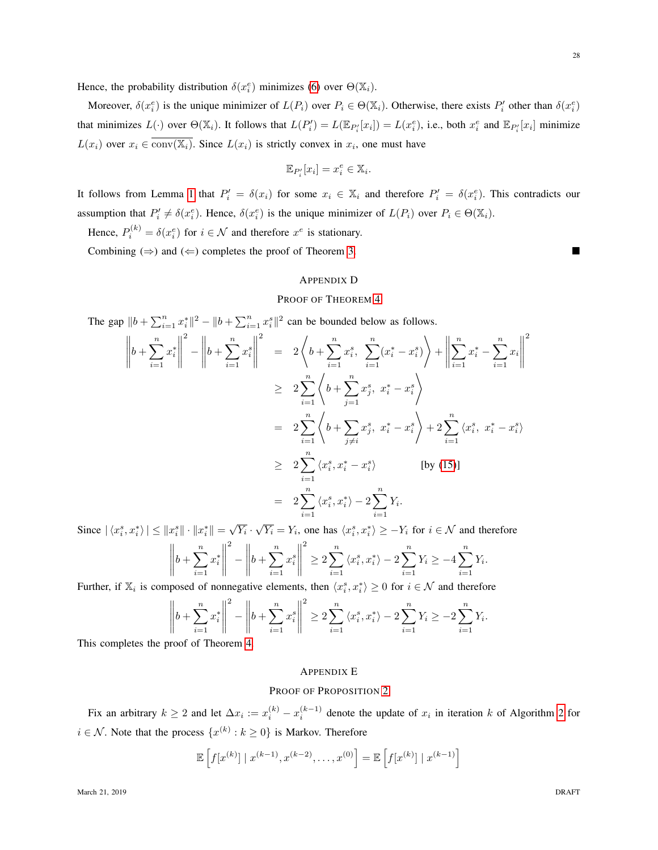Hence, the probability distribution  $\delta(x_i^e)$  minimizes [\(6\)](#page-14-1) over  $\Theta(\mathbb{X}_i)$ .

Moreover,  $\delta(x_i^e)$  is the unique minimizer of  $L(P_i)$  over  $P_i \in \Theta(\mathbb{X}_i)$ . Otherwise, there exists  $P'_i$  other than  $\delta(x_i^e)$ that minimizes  $L(\cdot)$  over  $\Theta(\mathbb{X}_i)$ . It follows that  $L(P_i') = L(\mathbb{E}_{P_i'}[x_i]) = L(x_i^e)$ , i.e., both  $x_i^e$  and  $\mathbb{E}_{P_i'}[x_i]$  minimize  $L(x_i)$  over  $x_i \in \text{conv}(\mathbb{X}_i)$ . Since  $L(x_i)$  is strictly convex in  $x_i$ , one must have

$$
\mathbb{E}_{P_i'}[x_i] = x_i^e \in \mathbb{X}_i.
$$

It follows from Lemma [1](#page-25-1) that  $P'_i = \delta(x_i)$  for some  $x_i \in \mathbb{X}_i$  and therefore  $P'_i = \delta(x_i^e)$ . This contradicts our assumption that  $P'_i \neq \delta(x_i^e)$ . Hence,  $\delta(x_i^e)$  is the unique minimizer of  $L(P_i)$  over  $P_i \in \Theta(\mathbb{X}_i)$ .

Hence,  $P_i^{(k)} = \delta(x_i^e)$  for  $i \in \mathcal{N}$  and therefore  $x^e$  is stationary.

Combining  $(\Rightarrow)$  and  $(\Leftarrow)$  completes the proof of Theorem [3.](#page-16-1)

#### <span id="page-27-0"></span>APPENDIX D

# PROOF OF THEOREM [4](#page-16-0)

The gap  $||b + \sum_{i=1}^n x_i^*||^2 - ||b + \sum_{i=1}^n x_i^s||^2$  can be bounded below as follows.  $\mathbf{v} = \mathbf{u}$ 

$$
\left\| b + \sum_{i=1}^{n} x_{i}^{*} \right\|^{2} - \left\| b + \sum_{i=1}^{n} x_{i}^{s} \right\|^{2} = 2 \left\langle b + \sum_{i=1}^{n} x_{i}^{s}, \sum_{i=1}^{n} (x_{i}^{*} - x_{i}^{s}) \right\rangle + \left\| \sum_{i=1}^{n} x_{i}^{*} - \sum_{i=1}^{n} x_{i} \right\|^{2}
$$
  
\n
$$
\geq 2 \sum_{i=1}^{n} \left\langle b + \sum_{j=1}^{n} x_{j}^{s}, x_{i}^{*} - x_{i}^{s} \right\rangle
$$
  
\n
$$
= 2 \sum_{i=1}^{n} \left\langle b + \sum_{j \neq i} x_{j}^{s}, x_{i}^{*} - x_{i}^{s} \right\rangle + 2 \sum_{i=1}^{n} \left\langle x_{i}^{s}, x_{i}^{*} - x_{i}^{s} \right\rangle
$$
  
\n
$$
\geq 2 \sum_{i=1}^{n} \left\langle x_{i}^{s}, x_{i}^{*} - x_{i}^{s} \right\rangle \qquad \text{[by (15)]}
$$
  
\n
$$
= 2 \sum_{i=1}^{n} \left\langle x_{i}^{s}, x_{i}^{*} \right\rangle - 2 \sum_{i=1}^{n} Y_{i}.
$$

Since  $|\langle x_i^s, x_i^* \rangle| \leq ||x_i^s|| \cdot ||x_i^*|| = \sqrt{\}$  $\overline{Y}_i \cdot \sqrt{ }$  $\overline{Y_i} = Y_i$ , one has  $\langle x_i^s, x_i^* \rangle \ge -Y_i$  for  $i \in \mathcal{N}$  and therefore

$$
\left\| b + \sum_{i=1}^{n} x_i^* \right\|^2 - \left\| b + \sum_{i=1}^{n} x_i^* \right\|^2 \ge 2 \sum_{i=1}^{n} \left\langle x_i^s, x_i^* \right\rangle - 2 \sum_{i=1}^{n} Y_i \ge -4 \sum_{i=1}^{n} Y_i.
$$

Further, if  $\mathbb{X}_i$  is composed of nonnegative elements, then  $\langle x_i^s, x_i^* \rangle \geq 0$  for  $i \in \mathcal{N}$  and therefore

$$
\left\| b + \sum_{i=1}^{n} x_i^* \right\|^2 - \left\| b + \sum_{i=1}^{n} x_i^s \right\|^2 \ge 2 \sum_{i=1}^{n} \left\langle x_i^s, x_i^* \right\rangle - 2 \sum_{i=1}^{n} Y_i \ge -2 \sum_{i=1}^{n} Y_i.
$$

This completes the proof of Theorem [4.](#page-16-0)

## <span id="page-27-1"></span>APPENDIX E

## PROOF OF PROPOSITION [2](#page-17-0)

Fix an arbitrary  $k \ge 2$  $k \ge 2$  and let  $\Delta x_i := x_i^{(k)} - x_i^{(k-1)}$  denote the update of  $x_i$  in iteration k of Algorithm 2 for  $i \in \mathcal{N}$ . Note that the process  $\{x^{(k)} : k \geq 0\}$  is Markov. Therefore

$$
\mathbb{E}\left[f[x^{(k)}] \mid x^{(k-1)}, x^{(k-2)}, \dots, x^{(0)}\right] = \mathbb{E}\left[f[x^{(k)}] \mid x^{(k-1)}\right]
$$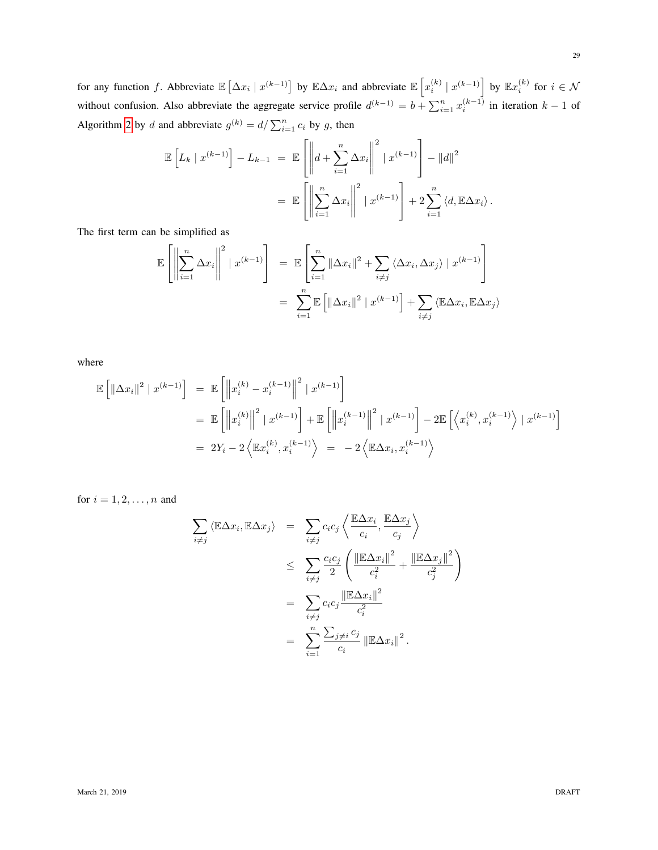for any function f. Abbreviate  $\mathbb{E} [\Delta x_i | x^{(k-1)}]$  by  $\mathbb{E} \Delta x_i$  and abbreviate  $\mathbb{E} [x_i^{(k)} | x^{(k-1)}]$  by  $\mathbb{E} x_i^{(k)}$  for  $i \in \mathcal{N}$ without confusion. Also abbreviate the aggregate service profile  $d^{(k-1)} = b + \sum_{i=1}^{n} x_i^{(k-1)}$  in iteration  $k-1$  of Algorithm [2](#page-14-0) by d and abbreviate  $g^{(k)} = d / \sum_{i=1}^{n} c_i$  by g, then

$$
\mathbb{E}\left[L_k \mid x^{(k-1)}\right] - L_{k-1} = \mathbb{E}\left[\left\|d + \sum_{i=1}^n \Delta x_i\right\|^2 \mid x^{(k-1)}\right] - \|d\|^2
$$
  

$$
= \mathbb{E}\left[\left\|\sum_{i=1}^n \Delta x_i\right\|^2 \mid x^{(k-1)}\right] + 2\sum_{i=1}^n \langle d, \mathbb{E}\Delta x_i \rangle.
$$

The first term can be simplified as

$$
\mathbb{E}\left[\left\|\sum_{i=1}^{n}\Delta x_{i}\right\|^{2} \mid x^{(k-1)}\right] = \mathbb{E}\left[\sum_{i=1}^{n}\|\Delta x_{i}\|^{2} + \sum_{i\neq j}\langle \Delta x_{i}, \Delta x_{j}\rangle \mid x^{(k-1)}\right]
$$

$$
= \sum_{i=1}^{n}\mathbb{E}\left[\left\|\Delta x_{i}\right\|^{2} \mid x^{(k-1)}\right] + \sum_{i\neq j}\langle \mathbb{E}\Delta x_{i}, \mathbb{E}\Delta x_{j}\rangle
$$

where

$$
\mathbb{E} \left[ \left\| \Delta x_i \right\|^2 \mid x^{(k-1)} \right] = \mathbb{E} \left[ \left\| x_i^{(k)} - x_i^{(k-1)} \right\|^2 \mid x^{(k-1)} \right]
$$
  
\n
$$
= \mathbb{E} \left[ \left\| x_i^{(k)} \right\|^2 \mid x^{(k-1)} \right] + \mathbb{E} \left[ \left\| x_i^{(k-1)} \right\|^2 \mid x^{(k-1)} \right] - 2 \mathbb{E} \left[ \left\langle x_i^{(k)}, x_i^{(k-1)} \right\rangle \mid x^{(k-1)} \right]
$$
  
\n
$$
= 2Y_i - 2 \left\langle \mathbb{E} x_i^{(k)}, x_i^{(k-1)} \right\rangle = -2 \left\langle \mathbb{E} \Delta x_i, x_i^{(k-1)} \right\rangle
$$

for  $i = 1, 2, ..., n$  and

$$
\sum_{i \neq j} \langle \mathbb{E} \Delta x_i, \mathbb{E} \Delta x_j \rangle = \sum_{i \neq j} c_i c_j \left\langle \frac{\mathbb{E} \Delta x_i}{c_i}, \frac{\mathbb{E} \Delta x_j}{c_j} \right\rangle
$$
  
\n
$$
\leq \sum_{i \neq j} \frac{c_i c_j}{2} \left( \frac{\|\mathbb{E} \Delta x_i\|^2}{c_i^2} + \frac{\|\mathbb{E} \Delta x_j\|^2}{c_j^2} \right)
$$
  
\n
$$
= \sum_{i \neq j} c_i c_j \frac{\|\mathbb{E} \Delta x_i\|^2}{c_i^2}
$$
  
\n
$$
= \sum_{i=1}^n \frac{\sum_{j \neq i} c_j}{c_i} \|\mathbb{E} \Delta x_i\|^2.
$$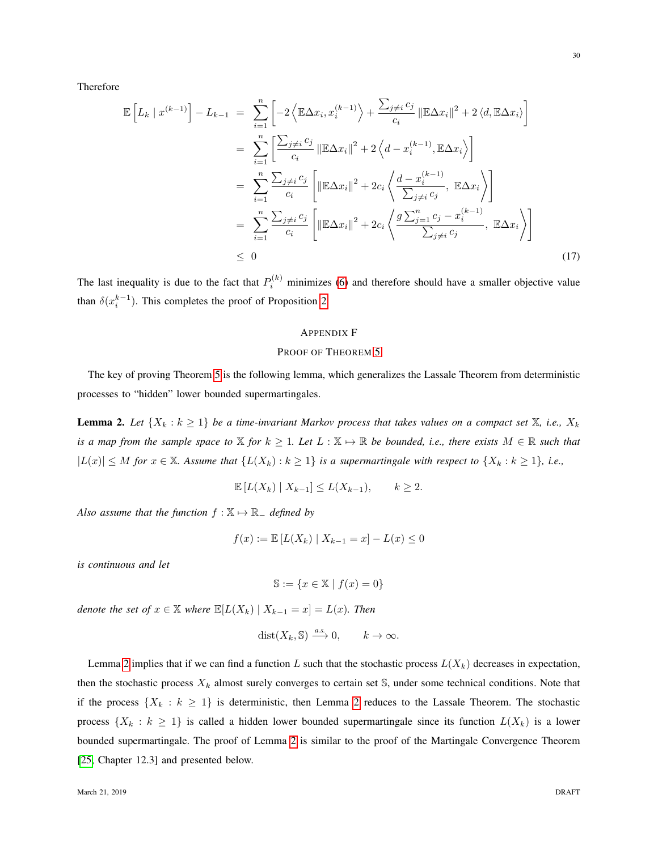Therefore

$$
\mathbb{E}\left[L_k \mid x^{(k-1)}\right] - L_{k-1} = \sum_{i=1}^n \left[-2\left\langle \mathbb{E}\Delta x_i, x_i^{(k-1)}\right\rangle + \frac{\sum_{j\neq i} c_j}{c_i} \left\|\mathbb{E}\Delta x_i\right\|^2 + 2\left\langle d, \mathbb{E}\Delta x_i\right\rangle\right]
$$
  
\n
$$
= \sum_{i=1}^n \left[\frac{\sum_{j\neq i} c_j}{c_i} \left\|\mathbb{E}\Delta x_i\right\|^2 + 2\left\langle d - x_i^{(k-1)}, \mathbb{E}\Delta x_i\right\rangle\right]
$$
  
\n
$$
= \sum_{i=1}^n \frac{\sum_{j\neq i} c_j}{c_i} \left[\left\|\mathbb{E}\Delta x_i\right\|^2 + 2c_i \left\langle \frac{d - x_i^{(k-1)}}{\sum_{j\neq i} c_j}, \mathbb{E}\Delta x_i\right\rangle\right]
$$
  
\n
$$
= \sum_{i=1}^n \frac{\sum_{j\neq i} c_j}{c_i} \left[\left\|\mathbb{E}\Delta x_i\right\|^2 + 2c_i \left\langle \frac{g\sum_{j=1}^n c_j - x_i^{(k-1)}}{\sum_{j\neq i} c_j}, \mathbb{E}\Delta x_i\right\rangle\right]
$$
  
\n
$$
\leq 0
$$
 (17)

The last inequality is due to the fact that  $P_i^{(k)}$  minimizes [\(6\)](#page-14-1) and therefore should have a smaller objective value than  $\delta(x_i^{k-1})$ . This completes the proof of Proposition [2.](#page-17-0)

## <span id="page-29-2"></span><span id="page-29-0"></span>APPENDIX F

# PROOF OF THEOREM [5](#page-17-1)

The key of proving Theorem [5](#page-17-1) is the following lemma, which generalizes the Lassale Theorem from deterministic processes to "hidden" lower bounded supermartingales.

<span id="page-29-1"></span>**Lemma 2.** Let  $\{X_k : k \geq 1\}$  be a time-invariant Markov process that takes values on a compact set  $\mathbb{X}$ , i.e.,  $X_k$ *is a map from the sample space to*  $X$  *for*  $k \geq 1$ *. Let*  $L : X \mapsto \mathbb{R}$  *be bounded, i.e., there exists*  $M \in \mathbb{R}$  *such that*  $|L(x)|$  ≤ *M* for  $x \in \mathbb{X}$ *. Assume that*  $\{L(X_k) : k \geq 1\}$  *is a supermartingale with respect to*  $\{X_k : k \geq 1\}$ *, i.e.,* 

$$
\mathbb{E}\left[L(X_k) \mid X_{k-1}\right] \le L(X_{k-1}), \qquad k \ge 2.
$$

*Also assume that the function*  $f : \mathbb{X} \mapsto \mathbb{R}$  *defined by* 

$$
f(x) := \mathbb{E}[L(X_k) | X_{k-1} = x] - L(x) \le 0
$$

*is continuous and let*

$$
\mathbb{S}:=\{x\in\mathbb{X}\mid f(x)=0\}
$$

*denote the set of*  $x \in \mathbb{X}$  *where*  $\mathbb{E}[L(X_k) | X_{k-1} = x] = L(x)$ *. Then* 

$$
dist(X_k, \mathbb{S}) \xrightarrow{a.s.} 0, \qquad k \to \infty.
$$

Lemma [2](#page-29-1) implies that if we can find a function L such that the stochastic process  $L(X_k)$  decreases in expectation, then the stochastic process  $X_k$  almost surely converges to certain set  $\mathbb{S}$ , under some technical conditions. Note that if the process  $\{X_k : k \geq 1\}$  is deterministic, then Lemma [2](#page-29-1) reduces to the Lassale Theorem. The stochastic process  $\{X_k : k \geq 1\}$  is called a hidden lower bounded supermartingale since its function  $L(X_k)$  is a lower bounded supermartingale. The proof of Lemma [2](#page-29-1) is similar to the proof of the Martingale Convergence Theorem [\[25,](#page-23-3) Chapter 12.3] and presented below.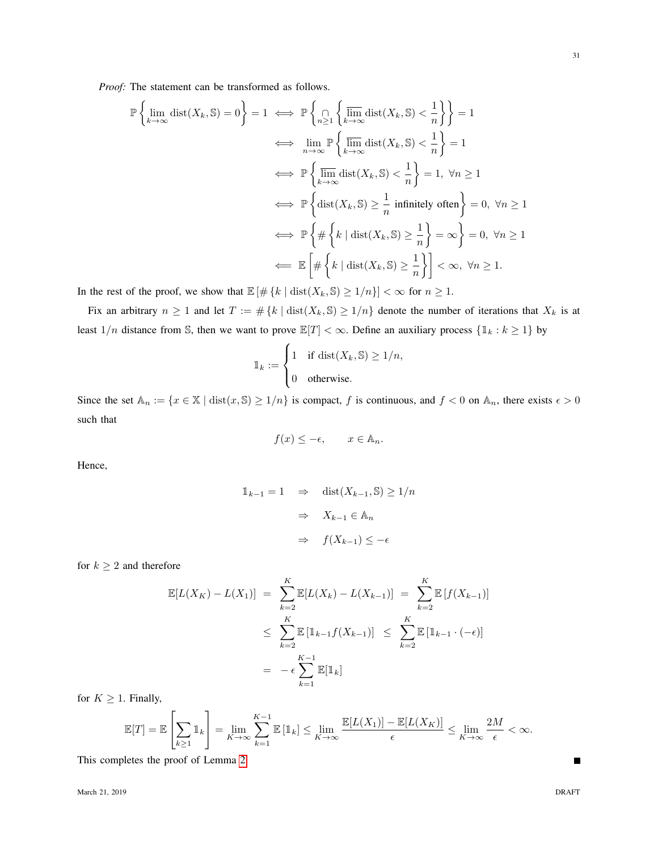*Proof:* The statement can be transformed as follows.

$$
\mathbb{P}\left\{\lim_{k\to\infty} \text{dist}(X_k, \mathbb{S}) = 0\right\} = 1 \iff \mathbb{P}\left\{\bigcap_{n\geq 1} \left\{\overline{\lim_{k\to\infty}} \text{dist}(X_k, \mathbb{S}) < \frac{1}{n}\right\}\right\} = 1
$$
\n
$$
\iff \lim_{n\to\infty} \mathbb{P}\left\{\overline{\lim_{k\to\infty}} \text{dist}(X_k, \mathbb{S}) < \frac{1}{n}\right\} = 1
$$
\n
$$
\iff \mathbb{P}\left\{\overline{\lim_{k\to\infty}} \text{dist}(X_k, \mathbb{S}) < \frac{1}{n}\right\} = 1, \ \forall n \geq 1
$$
\n
$$
\iff \mathbb{P}\left\{\text{dist}(X_k, \mathbb{S}) \geq \frac{1}{n} \text{ infinitely often}\right\} = 0, \ \forall n \geq 1
$$
\n
$$
\iff \mathbb{P}\left\{\# \left\{k \mid \text{dist}(X_k, \mathbb{S}) \geq \frac{1}{n}\right\} = \infty\right\} = 0, \ \forall n \geq 1
$$
\n
$$
\iff \mathbb{E}\left[\#\left\{k \mid \text{dist}(X_k, \mathbb{S}) \geq \frac{1}{n}\right\}\right] < \infty, \ \forall n \geq 1.
$$

In the rest of the proof, we show that  $\mathbb{E}[\#\{k \mid \text{dist}(X_k, \mathbb{S}) \geq 1/n\}] < \infty$  for  $n \geq 1$ .

Fix an arbitrary  $n \ge 1$  and let  $T := \# \{k \mid \text{dist}(X_k, \mathbb{S}) \ge 1/n\}$  denote the number of iterations that  $X_k$  is at least  $1/n$  distance from S, then we want to prove  $\mathbb{E}[T] < \infty$ . Define an auxiliary process  $\{\mathbb{1}_k : k \geq 1\}$  by

$$
\mathbb{1}_k := \begin{cases} 1 & \text{if } \text{dist}(X_k, \mathbb{S}) \ge 1/n, \\ 0 & \text{otherwise.} \end{cases}
$$

Since the set  $\mathbb{A}_n := \{x \in \mathbb{X} \mid \text{dist}(x, \mathbb{S}) \ge 1/n\}$  is compact, f is continuous, and  $f < 0$  on  $\mathbb{A}_n$ , there exists  $\epsilon > 0$ such that

$$
f(x) \le -\epsilon, \qquad x \in \mathbb{A}_n.
$$

Hence,

$$
\begin{aligned}\n\mathbb{1}_{k-1} &= 1 \quad \Rightarrow \quad \text{dist}(X_{k-1}, \mathbb{S}) \ge 1/n \\
&\Rightarrow \quad X_{k-1} \in \mathbb{A}_n \\
&\Rightarrow \quad f(X_{k-1}) \le -\epsilon\n\end{aligned}
$$

for  $k \geq 2$  and therefore

$$
\mathbb{E}[L(X_K) - L(X_1)] = \sum_{k=2}^{K} \mathbb{E}[L(X_k) - L(X_{k-1})] = \sum_{k=2}^{K} \mathbb{E}[f(X_{k-1})]
$$
  
\n
$$
\leq \sum_{k=2}^{K} \mathbb{E}[\mathbb{1}_{k-1}f(X_{k-1})] \leq \sum_{k=2}^{K} \mathbb{E}[\mathbb{1}_{k-1} \cdot (-\epsilon)]
$$
  
\n
$$
= -\epsilon \sum_{k=1}^{K-1} \mathbb{E}[\mathbb{1}_k]
$$

for  $K \geq 1$ . Finally,

$$
\mathbb{E}[T] = \mathbb{E}\left[\sum_{k\geq 1} \mathbb{1}_k\right] = \lim_{K\to\infty} \sum_{k=1}^{K-1} \mathbb{E}\left[\mathbb{1}_k\right] \leq \lim_{K\to\infty} \frac{\mathbb{E}[L(X_1)] - \mathbb{E}[L(X_K)]}{\epsilon} \leq \lim_{K\to\infty} \frac{2M}{\epsilon} < \infty.
$$

This completes the proof of Lemma [2.](#page-29-1)

П